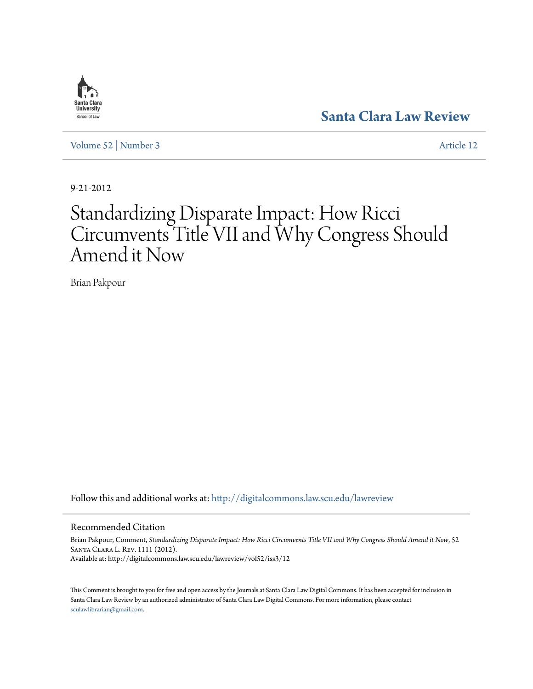

**[Santa Clara Law Review](http://digitalcommons.law.scu.edu/lawreview?utm_source=digitalcommons.law.scu.edu%2Flawreview%2Fvol52%2Fiss3%2F12&utm_medium=PDF&utm_campaign=PDFCoverPages)**

[Volume 52](http://digitalcommons.law.scu.edu/lawreview/vol52?utm_source=digitalcommons.law.scu.edu%2Flawreview%2Fvol52%2Fiss3%2F12&utm_medium=PDF&utm_campaign=PDFCoverPages) | [Number 3](http://digitalcommons.law.scu.edu/lawreview/vol52/iss3?utm_source=digitalcommons.law.scu.edu%2Flawreview%2Fvol52%2Fiss3%2F12&utm_medium=PDF&utm_campaign=PDFCoverPages) [Article 12](http://digitalcommons.law.scu.edu/lawreview/vol52/iss3/12?utm_source=digitalcommons.law.scu.edu%2Flawreview%2Fvol52%2Fiss3%2F12&utm_medium=PDF&utm_campaign=PDFCoverPages)

9-21-2012

# Standardizing Disparate Impact: How Ricci Circumvents Title VII and Why Congress Should Amend it Now

Brian Pakpour

Follow this and additional works at: [http://digitalcommons.law.scu.edu/lawreview](http://digitalcommons.law.scu.edu/lawreview?utm_source=digitalcommons.law.scu.edu%2Flawreview%2Fvol52%2Fiss3%2F12&utm_medium=PDF&utm_campaign=PDFCoverPages)

# Recommended Citation

Brian Pakpour, Comment, *Standardizing Disparate Impact: How Ricci Circumvents Title VII and Why Congress Should Amend it Now*, 52 Santa Clara L. Rev. 1111 (2012). Available at: http://digitalcommons.law.scu.edu/lawreview/vol52/iss3/12

This Comment is brought to you for free and open access by the Journals at Santa Clara Law Digital Commons. It has been accepted for inclusion in Santa Clara Law Review by an authorized administrator of Santa Clara Law Digital Commons. For more information, please contact [sculawlibrarian@gmail.com](mailto:sculawlibrarian@gmail.com).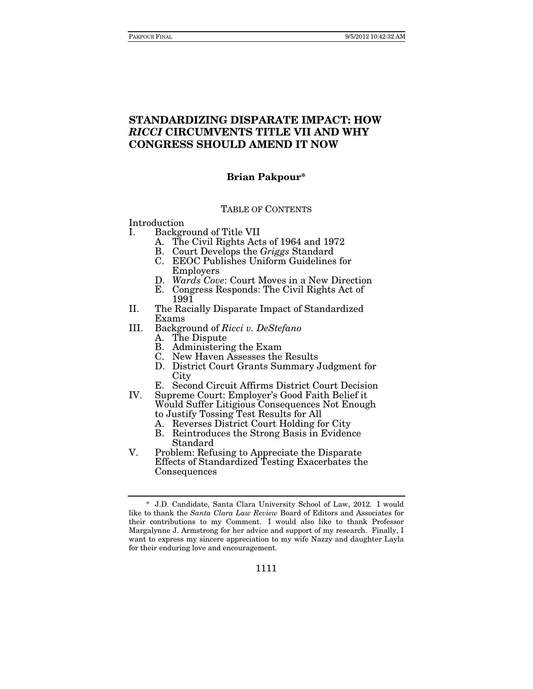# **STANDARDIZING DISPARATE IMPACT: HOW**  *RICCI* **CIRCUMVENTS TITLE VII AND WHY CONGRESS SHOULD AMEND IT NOW**

# **Brian Pakpour\***

#### TABLE OF CONTENTS

Introduction

- I. Background of Title VII
	- A. The Civil Rights Acts of 1964 and 1972
	- B. Court Develops the Griggs Standard
	- C. EEOC Publishes Uniform Guidelines for Employers
	- D. Wards Cove: Court Moves in a New Direction
	- E. Congress Responds: The Civil Rights Act of 1991
- II. The Racially Disparate Impact of Standardized Exams
- III. Background of Ricci v. DeStefano
	- A. The Dispute
	- B. Administering the Exam
	- C. New Haven Assesses the Results
	- D. District Court Grants Summary Judgment for City
	- E. Second Circuit Affirms District Court Decision
- IV. Supreme Court: Employer's Good Faith Belief it Would Suffer Litigious Consequences Not Enough to Justify Tossing Test Results for All
	- A. Reverses District Court Holding for City
	- B. Reintroduces the Strong Basis in Evidence Standard
- V. Problem: Refusing to Appreciate the Disparate Effects of Standardized Testing Exacerbates the Consequences

 <sup>\*</sup> J.D. Candidate, Santa Clara University School of Law, 2012. I would like to thank the Santa Clara Law Review Board of Editors and Associates for their contributions to my Comment. I would also like to thank Professor Margalynne J. Armstrong for her advice and support of my research. Finally, I want to express my sincere appreciation to my wife Nazzy and daughter Layla for their enduring love and encouragement.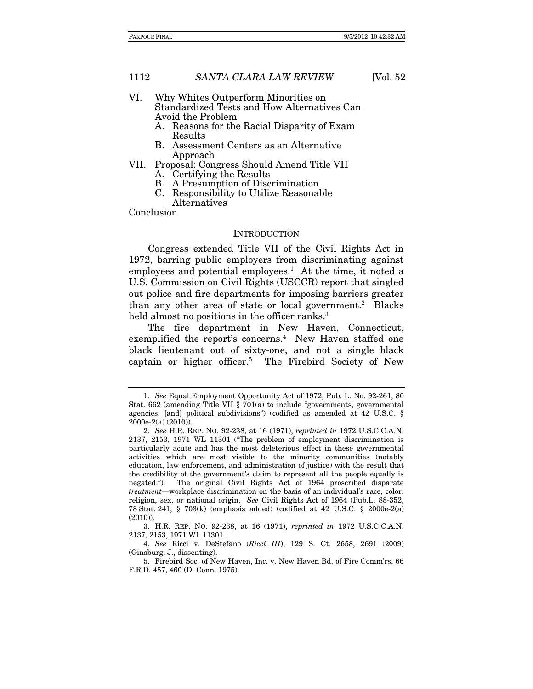- VI. Why Whites Outperform Minorities on Standardized Tests and How Alternatives Can Avoid the Problem
	- A. Reasons for the Racial Disparity of Exam Results
	- B. Assessment Centers as an Alternative Approach
- VII. Proposal: Congress Should Amend Title VII A. Certifying the Results
	- B. A Presumption of Discrimination
	- C. Responsibility to Utilize Reasonable

Alternatives

Conclusion

#### **INTRODUCTION**

Congress extended Title VII of the Civil Rights Act in 1972, barring public employers from discriminating against employees and potential employees.<sup>1</sup> At the time, it noted a U.S. Commission on Civil Rights (USCCR) report that singled out police and fire departments for imposing barriers greater than any other area of state or local government.<sup>2</sup> Blacks held almost no positions in the officer ranks.<sup>3</sup>

The fire department in New Haven, Connecticut, exemplified the report's concerns.<sup>4</sup> New Haven staffed one black lieutenant out of sixty-one, and not a single black captain or higher officer.5 The Firebird Society of New

<sup>1.</sup> See Equal Employment Opportunity Act of 1972, Pub. L. No. 92-261, 80 Stat. 662 (amending Title VII § 701(a) to include "governments, governmental agencies, [and] political subdivisions") (codified as amended at 42 U.S.C. § 2000e-2(a) (2010)).

<sup>2.</sup> See H.R. REP. NO. 92-238, at 16 (1971), reprinted in 1972 U.S.C.C.A.N. 2137, 2153, 1971 WL 11301 ("The problem of employment discrimination is particularly acute and has the most deleterious effect in these governmental activities which are most visible to the minority communities (notably education, law enforcement, and administration of justice) with the result that the credibility of the government's claim to represent all the people equally is negated."). The original Civil Rights Act of 1964 proscribed disparate treatment—workplace discrimination on the basis of an individual's race, color, religion, sex, or national origin. See Civil Rights Act of 1964 (Pub.L. 88-352, 78 Stat. 241, § 703(k) (emphasis added) (codified at 42 U.S.C. § 2000e-2(a)  $(2010)$ ).

 <sup>3.</sup> H.R. REP. NO. 92-238, at 16 (1971), reprinted in 1972 U.S.C.C.A.N. 2137, 2153, 1971 WL 11301.

<sup>4.</sup> See Ricci v. DeStefano (Ricci III), 129 S. Ct. 2658, 2691 (2009) (Ginsburg, J., dissenting).

 <sup>5.</sup> Firebird Soc. of New Haven, Inc. v. New Haven Bd. of Fire Comm'rs, 66 F.R.D. 457, 460 (D. Conn. 1975).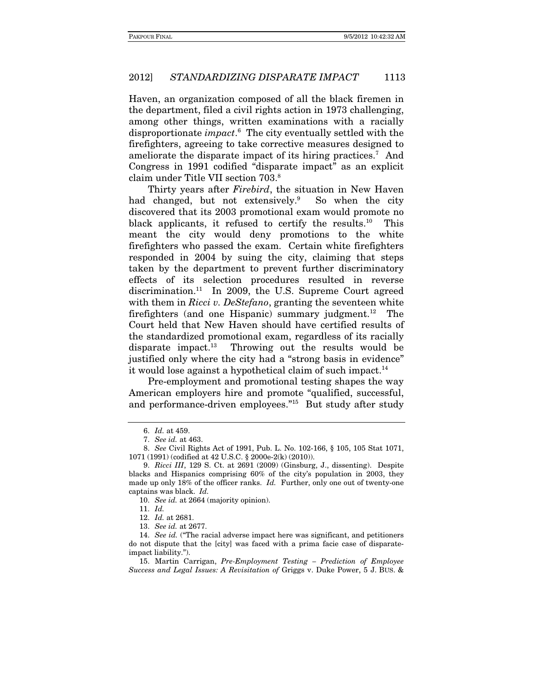Haven, an organization composed of all the black firemen in the department, filed a civil rights action in 1973 challenging, among other things, written examinations with a racially disproportionate *impact*.<sup>6</sup> The city eventually settled with the firefighters, agreeing to take corrective measures designed to ameliorate the disparate impact of its hiring practices.<sup>7</sup> And Congress in 1991 codified "disparate impact" as an explicit claim under Title VII section 703.8

Thirty years after *Firebird*, the situation in New Haven had changed, but not extensively.<sup>9</sup> So when the city discovered that its 2003 promotional exam would promote no black applicants, it refused to certify the results.<sup>10</sup> This meant the city would deny promotions to the white firefighters who passed the exam. Certain white firefighters responded in 2004 by suing the city, claiming that steps taken by the department to prevent further discriminatory effects of its selection procedures resulted in reverse discrimination.<sup>11</sup> In 2009, the U.S. Supreme Court agreed with them in Ricci v. DeStefano, granting the seventeen white firefighters (and one Hispanic) summary judgment.<sup>12</sup> The Court held that New Haven should have certified results of the standardized promotional exam, regardless of its racially disparate impact. $13$  Throwing out the results would be justified only where the city had a "strong basis in evidence" it would lose against a hypothetical claim of such impact.<sup>14</sup>

Pre-employment and promotional testing shapes the way American employers hire and promote "qualified, successful, and performance-driven employees."15 But study after study

<sup>6.</sup> Id. at 459.

<sup>7.</sup> See id. at 463.

<sup>8.</sup> See Civil Rights Act of 1991, Pub. L. No. 102-166, § 105, 105 Stat 1071, 1071 (1991) (codified at 42 U.S.C. § 2000e-2(k) (2010)).

 <sup>9.</sup> Ricci III, 129 S. Ct. at 2691 (2009) (Ginsburg, J., dissenting). Despite blacks and Hispanics comprising 60% of the city's population in 2003, they made up only 18% of the officer ranks. Id. Further, only one out of twenty-one captains was black. Id.

<sup>10.</sup> See id. at 2664 (majority opinion).

<sup>11.</sup> Id.

<sup>12.</sup> Id. at 2681.

<sup>13.</sup> See id. at 2677.

<sup>14.</sup> See id. ("The racial adverse impact here was significant, and petitioners do not dispute that the [city] was faced with a prima facie case of disparateimpact liability.").

 <sup>15.</sup> Martin Carrigan, Pre-Employment Testing – Prediction of Employee Success and Legal Issues: A Revisitation of Griggs v. Duke Power, 5 J. BUS. &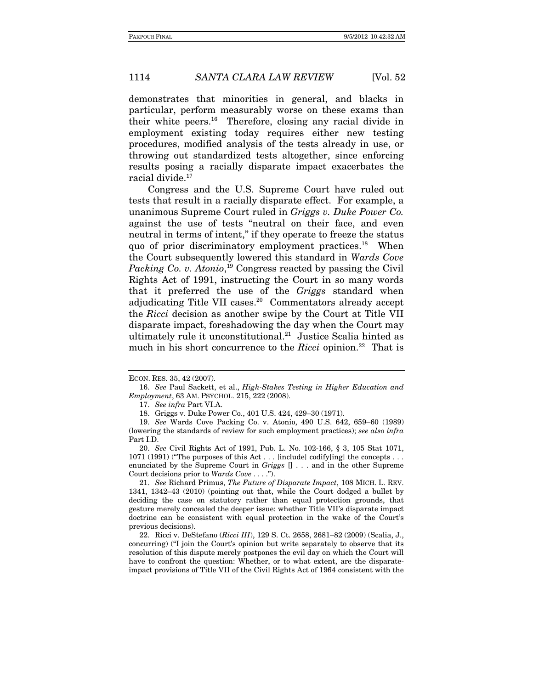demonstrates that minorities in general, and blacks in particular, perform measurably worse on these exams than their white peers.16 Therefore, closing any racial divide in employment existing today requires either new testing procedures, modified analysis of the tests already in use, or throwing out standardized tests altogether, since enforcing results posing a racially disparate impact exacerbates the racial divide.<sup>17</sup>

Congress and the U.S. Supreme Court have ruled out tests that result in a racially disparate effect. For example, a unanimous Supreme Court ruled in Griggs v. Duke Power Co. against the use of tests "neutral on their face, and even neutral in terms of intent," if they operate to freeze the status quo of prior discriminatory employment practices.18 When the Court subsequently lowered this standard in Wards Cove Packing Co. v. Atonio,<sup>19</sup> Congress reacted by passing the Civil Rights Act of 1991, instructing the Court in so many words that it preferred the use of the Griggs standard when adjudicating Title VII cases.<sup>20</sup> Commentators already accept the Ricci decision as another swipe by the Court at Title VII disparate impact, foreshadowing the day when the Court may ultimately rule it unconstitutional.<sup>21</sup> Justice Scalia hinted as much in his short concurrence to the Ricci opinion.<sup>22</sup> That is

ECON. RES. 35, 42 (2007).

<sup>16.</sup> See Paul Sackett, et al., High-Stakes Testing in Higher Education and Employment, 63 AM. PSYCHOL. 215, 222 (2008).

<sup>17.</sup> See infra Part VI.A.

 <sup>18.</sup> Griggs v. Duke Power Co., 401 U.S. 424, 429–30 (1971).

<sup>19.</sup> See Wards Cove Packing Co. v. Atonio, 490 U.S. 642, 659–60 (1989) (lowering the standards of review for such employment practices); see also infra Part I.D.

<sup>20.</sup> See Civil Rights Act of 1991, Pub. L. No. 102-166, § 3, 105 Stat 1071, 1071 (1991) ("The purposes of this Act . . . [include] codify[ing] the concepts . . . enunciated by the Supreme Court in Griggs  $[] \ldots$  and in the other Supreme Court decisions prior to Wards Cove . . . .").

<sup>21.</sup> See Richard Primus, The Future of Disparate Impact, 108 MICH. L. REV. 1341, 1342–43 (2010) (pointing out that, while the Court dodged a bullet by deciding the case on statutory rather than equal protection grounds, that gesture merely concealed the deeper issue: whether Title VII's disparate impact doctrine can be consistent with equal protection in the wake of the Court's previous decisions).

<sup>22.</sup> Ricci v. DeStefano (Ricci III), 129 S. Ct. 2658, 2681–82 (2009) (Scalia, J., concurring) ("I join the Court's opinion but write separately to observe that its resolution of this dispute merely postpones the evil day on which the Court will have to confront the question: Whether, or to what extent, are the disparateimpact provisions of Title VII of the Civil Rights Act of 1964 consistent with the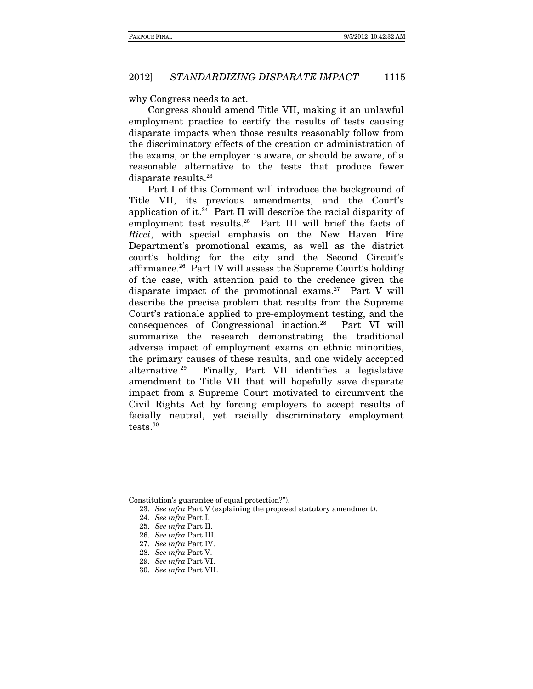why Congress needs to act.

Congress should amend Title VII, making it an unlawful employment practice to certify the results of tests causing disparate impacts when those results reasonably follow from the discriminatory effects of the creation or administration of the exams, or the employer is aware, or should be aware, of a reasonable alternative to the tests that produce fewer disparate results.<sup>23</sup>

Part I of this Comment will introduce the background of Title VII, its previous amendments, and the Court's application of it. $^{24}$  Part II will describe the racial disparity of employment test results.25 Part III will brief the facts of Ricci, with special emphasis on the New Haven Fire Department's promotional exams, as well as the district court's holding for the city and the Second Circuit's affirmance.26 Part IV will assess the Supreme Court's holding of the case, with attention paid to the credence given the disparate impact of the promotional exams.<sup>27</sup> Part V will describe the precise problem that results from the Supreme Court's rationale applied to pre-employment testing, and the consequences of Congressional inaction.28 Part VI will summarize the research demonstrating the traditional adverse impact of employment exams on ethnic minorities, the primary causes of these results, and one widely accepted alternative.29 Finally, Part VII identifies a legislative amendment to Title VII that will hopefully save disparate impact from a Supreme Court motivated to circumvent the Civil Rights Act by forcing employers to accept results of facially neutral, yet racially discriminatory employment tests.30

Constitution's guarantee of equal protection?").

<sup>23.</sup> See infra Part V (explaining the proposed statutory amendment).

<sup>24.</sup> See infra Part I.

<sup>25.</sup> See infra Part II.

<sup>26.</sup> See infra Part III.

<sup>27.</sup> See infra Part IV.

<sup>28.</sup> See infra Part V.

<sup>29.</sup> See infra Part VI.

<sup>30.</sup> See infra Part VII.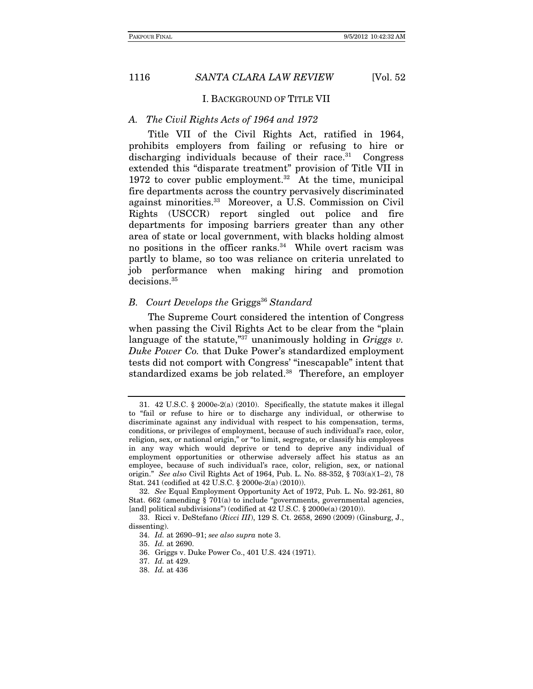#### I. BACKGROUND OF TITLE VII

#### A. The Civil Rights Acts of 1964 and 1972

Title VII of the Civil Rights Act, ratified in 1964, prohibits employers from failing or refusing to hire or discharging individuals because of their race.<sup>31</sup> Congress extended this "disparate treatment" provision of Title VII in 1972 to cover public employment.<sup>32</sup> At the time, municipal fire departments across the country pervasively discriminated against minorities.33 Moreover, a U.S. Commission on Civil Rights (USCCR) report singled out police and fire departments for imposing barriers greater than any other area of state or local government, with blacks holding almost no positions in the officer ranks.<sup>34</sup> While overt racism was partly to blame, so too was reliance on criteria unrelated to job performance when making hiring and promotion decisions.35

# B. Court Develops the Griggs<sup>36</sup> Standard

The Supreme Court considered the intention of Congress when passing the Civil Rights Act to be clear from the "plain language of the statute,"<sup>37</sup> unanimously holding in Griggs v. Duke Power Co. that Duke Power's standardized employment tests did not comport with Congress' "inescapable" intent that standardized exams be job related.<sup>38</sup> Therefore, an employer

 <sup>31. 42</sup> U.S.C. § 2000e-2(a) (2010). Specifically, the statute makes it illegal to "fail or refuse to hire or to discharge any individual, or otherwise to discriminate against any individual with respect to his compensation, terms, conditions, or privileges of employment, because of such individual's race, color, religion, sex, or national origin," or "to limit, segregate, or classify his employees in any way which would deprive or tend to deprive any individual of employment opportunities or otherwise adversely affect his status as an employee, because of such individual's race, color, religion, sex, or national origin." See also Civil Rights Act of 1964, Pub. L. No. 88-352, § 703(a)(1–2), 78 Stat. 241 (codified at 42 U.S.C. § 2000e-2(a) (2010)).

<sup>32.</sup> See Equal Employment Opportunity Act of 1972, Pub. L. No. 92-261, 80 Stat.  $662$  (amending § 701(a) to include "governments, governmental agencies, [and] political subdivisions") (codified at 42 U.S.C. § 2000e(a) (2010)).

 <sup>33.</sup> Ricci v. DeStefano (Ricci III), 129 S. Ct. 2658, 2690 (2009) (Ginsburg, J., dissenting).

<sup>34.</sup> Id. at 2690–91; see also supra note 3.

<sup>35.</sup> Id. at 2690.

 <sup>36.</sup> Griggs v. Duke Power Co., 401 U.S. 424 (1971).

<sup>37.</sup> Id. at 429.

<sup>38.</sup> Id. at 436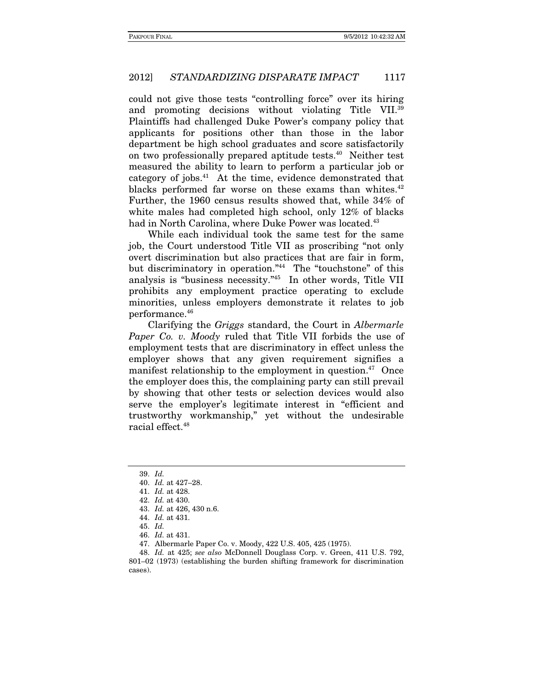could not give those tests "controlling force" over its hiring and promoting decisions without violating Title VII.39 Plaintiffs had challenged Duke Power's company policy that applicants for positions other than those in the labor department be high school graduates and score satisfactorily on two professionally prepared aptitude tests.40 Neither test measured the ability to learn to perform a particular job or category of jobs.41 At the time, evidence demonstrated that blacks performed far worse on these exams than whites.<sup>42</sup> Further, the 1960 census results showed that, while 34% of white males had completed high school, only 12% of blacks had in North Carolina, where Duke Power was located.<sup>43</sup>

While each individual took the same test for the same job, the Court understood Title VII as proscribing "not only overt discrimination but also practices that are fair in form, but discriminatory in operation."44 The "touchstone" of this analysis is "business necessity."45 In other words, Title VII prohibits any employment practice operating to exclude minorities, unless employers demonstrate it relates to job performance.46

Clarifying the Griggs standard, the Court in Albermarle Paper Co. v. Moody ruled that Title VII forbids the use of employment tests that are discriminatory in effect unless the employer shows that any given requirement signifies a manifest relationship to the employment in question. $47$  Once the employer does this, the complaining party can still prevail by showing that other tests or selection devices would also serve the employer's legitimate interest in "efficient and trustworthy workmanship," yet without the undesirable racial effect.48

<sup>39.</sup> Id.

<sup>40.</sup> Id. at 427–28.

<sup>41.</sup> Id. at 428.

 <sup>42.</sup> Id. at 430.

<sup>43.</sup> Id. at 426, 430 n.6.

<sup>44.</sup> Id. at 431.

<sup>45.</sup> Id.

<sup>46.</sup> Id. at 431.

 <sup>47.</sup> Albermarle Paper Co. v. Moody, 422 U.S. 405, 425 (1975).

<sup>48.</sup> Id. at 425; see also McDonnell Douglass Corp. v. Green, 411 U.S. 792, 801–02 (1973) (establishing the burden shifting framework for discrimination cases).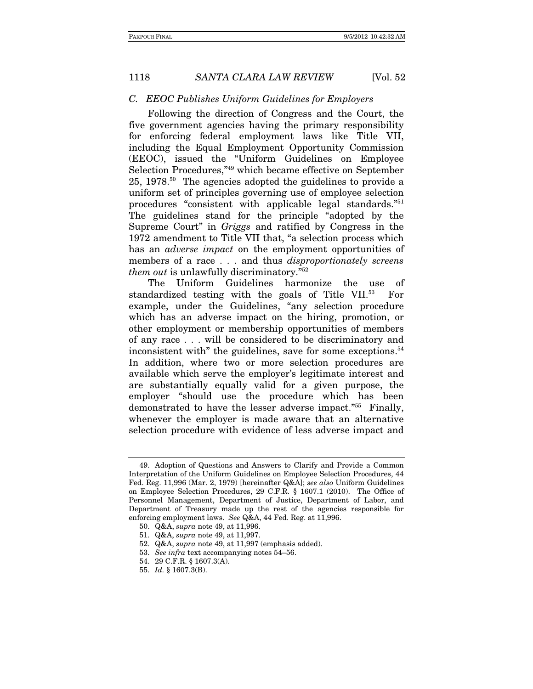#### C. EEOC Publishes Uniform Guidelines for Employers

Following the direction of Congress and the Court, the five government agencies having the primary responsibility for enforcing federal employment laws like Title VII, including the Equal Employment Opportunity Commission (EEOC), issued the "Uniform Guidelines on Employee Selection Procedures,"49 which became effective on September 25, 1978.50 The agencies adopted the guidelines to provide a uniform set of principles governing use of employee selection procedures "consistent with applicable legal standards."51 The guidelines stand for the principle "adopted by the Supreme Court" in Griggs and ratified by Congress in the 1972 amendment to Title VII that, "a selection process which has an *adverse impact* on the employment opportunities of members of a race . . . and thus *disproportionately screens* them out is unlawfully discriminatory."52

The Uniform Guidelines harmonize the use of standardized testing with the goals of Title VII.53 For example, under the Guidelines, "any selection procedure which has an adverse impact on the hiring, promotion, or other employment or membership opportunities of members of any race . . . will be considered to be discriminatory and inconsistent with" the guidelines, save for some exceptions.<sup>54</sup> In addition, where two or more selection procedures are available which serve the employer's legitimate interest and are substantially equally valid for a given purpose, the employer "should use the procedure which has been demonstrated to have the lesser adverse impact."55 Finally, whenever the employer is made aware that an alternative selection procedure with evidence of less adverse impact and

 <sup>49.</sup> Adoption of Questions and Answers to Clarify and Provide a Common Interpretation of the Uniform Guidelines on Employee Selection Procedures, 44 Fed. Reg. 11,996 (Mar. 2, 1979) [hereinafter Q&A]; see also Uniform Guidelines on Employee Selection Procedures, 29 C.F.R. § 1607.1 (2010). The Office of Personnel Management, Department of Justice, Department of Labor, and Department of Treasury made up the rest of the agencies responsible for enforcing employment laws. See Q&A, 44 Fed. Reg. at 11,996.

 <sup>50.</sup> Q&A, supra note 49, at 11,996.

 <sup>51.</sup> Q&A, supra note 49, at 11,997.

 <sup>52.</sup> Q&A, supra note 49, at 11,997 (emphasis added).

<sup>53.</sup> See infra text accompanying notes 54–56.

 <sup>54. 29</sup> C.F.R. § 1607.3(A).

 <sup>55.</sup> Id. § 1607.3(B).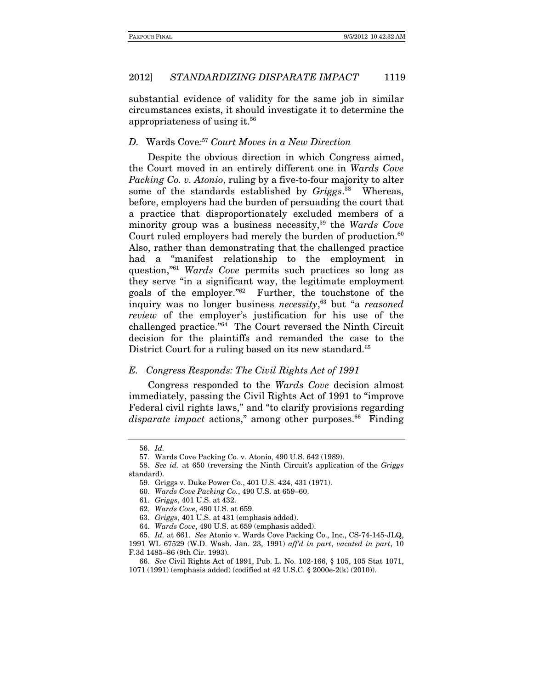substantial evidence of validity for the same job in similar circumstances exists, it should investigate it to determine the appropriateness of using it.56

# D. Wards Cove: <sup>57</sup> Court Moves in a New Direction

Despite the obvious direction in which Congress aimed, the Court moved in an entirely different one in Wards Cove Packing Co. v. Atonio, ruling by a five-to-four majority to alter some of the standards established by Griggs.<sup>58</sup> Whereas, before, employers had the burden of persuading the court that a practice that disproportionately excluded members of a minority group was a business necessity,<sup>59</sup> the Wards Cove Court ruled employers had merely the burden of production. $60$ Also, rather than demonstrating that the challenged practice had a "manifest relationship to the employment in question,"<sup>61</sup> Wards Cove permits such practices so long as they serve "in a significant way, the legitimate employment goals of the employer."62 Further, the touchstone of the inquiry was no longer business necessity, 63 but "a reasoned review of the employer's justification for his use of the challenged practice."64 The Court reversed the Ninth Circuit decision for the plaintiffs and remanded the case to the District Court for a ruling based on its new standard.<sup>65</sup>

#### E. Congress Responds: The Civil Rights Act of 1991

Congress responded to the Wards Cove decision almost immediately, passing the Civil Rights Act of 1991 to "improve Federal civil rights laws," and "to clarify provisions regarding disparate impact actions," among other purposes.<sup>66</sup> Finding

<sup>56.</sup> Id.

 <sup>57.</sup> Wards Cove Packing Co. v. Atonio, 490 U.S. 642 (1989).

<sup>58.</sup> See id. at 650 (reversing the Ninth Circuit's application of the Griggs standard).

 <sup>59.</sup> Griggs v. Duke Power Co., 401 U.S. 424, 431 (1971).

<sup>60.</sup> Wards Cove Packing Co., 490 U.S. at 659–60.

<sup>61.</sup> Griggs, 401 U.S. at 432.

<sup>62.</sup> Wards Cove, 490 U.S. at 659.

<sup>63.</sup> Griggs, 401 U.S. at 431 (emphasis added).

<sup>64.</sup> Wards Cove, 490 U.S. at 659 (emphasis added).

<sup>65.</sup> Id. at 661. See Atonio v. Wards Cove Packing Co., Inc., CS-74-145-JLQ, 1991 WL 67529 (W.D. Wash. Jan. 23, 1991) aff'd in part, vacated in part, 10 F.3d 1485–86 (9th Cir. 1993).

<sup>66.</sup> See Civil Rights Act of 1991, Pub. L. No. 102-166, § 105, 105 Stat 1071, 1071 (1991) (emphasis added) (codified at 42 U.S.C. § 2000e-2(k) (2010)).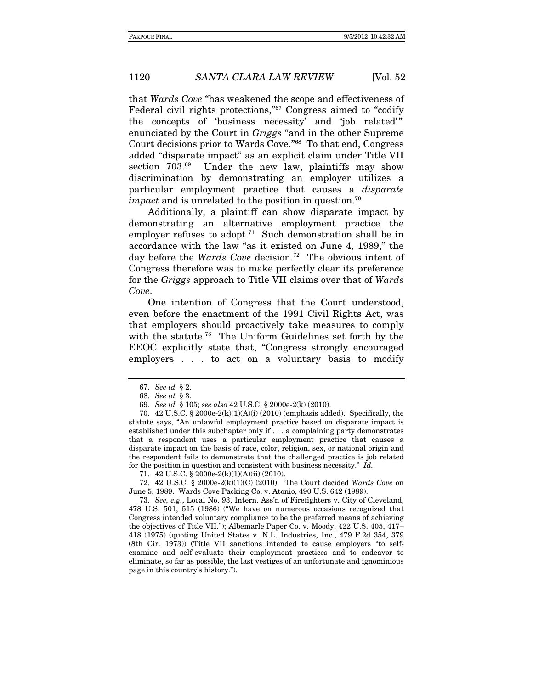that Wards Cove "has weakened the scope and effectiveness of Federal civil rights protections,"67 Congress aimed to "codify the concepts of 'business necessity' and 'job related'" enunciated by the Court in Griggs "and in the other Supreme Court decisions prior to Wards Cove."68 To that end, Congress added "disparate impact" as an explicit claim under Title VII section 703.<sup>69</sup> Under the new law, plaintiffs may show discrimination by demonstrating an employer utilizes a particular employment practice that causes a disparate *impact* and is unrelated to the position in question.<sup>70</sup>

Additionally, a plaintiff can show disparate impact by demonstrating an alternative employment practice the employer refuses to adopt.<sup>71</sup> Such demonstration shall be in accordance with the law "as it existed on June 4, 1989," the day before the Wards Cove decision.<sup>72</sup> The obvious intent of Congress therefore was to make perfectly clear its preference for the Griggs approach to Title VII claims over that of Wards Cove.

One intention of Congress that the Court understood, even before the enactment of the 1991 Civil Rights Act, was that employers should proactively take measures to comply with the statute.<sup>73</sup> The Uniform Guidelines set forth by the EEOC explicitly state that, "Congress strongly encouraged employers . . . to act on a voluntary basis to modify

70.  $42 \text{ U.S.C. }$  § 2000e-2(k)(1)(A)(i) (2010) (emphasis added). Specifically, the statute says, "An unlawful employment practice based on disparate impact is established under this subchapter only if . . . a complaining party demonstrates that a respondent uses a particular employment practice that causes a disparate impact on the basis of race, color, religion, sex, or national origin and the respondent fails to demonstrate that the challenged practice is job related for the position in question and consistent with business necessity." Id.

71. 42 U.S.C. § 2000e-2(k)(1)(A)(ii) (2010).

 72. 42 U.S.C. § 2000e-2(k)(1)(C) (2010). The Court decided Wards Cove on June 5, 1989. Wards Cove Packing Co. v. Atonio, 490 U.S. 642 (1989).

73. See, e.g., Local No. 93, Intern. Ass'n of Firefighters v. City of Cleveland, 478 U.S. 501, 515 (1986) ("We have on numerous occasions recognized that Congress intended voluntary compliance to be the preferred means of achieving the objectives of Title VII."); Albemarle Paper Co. v. Moody, 422 U.S. 405, 417– 418 (1975) (quoting United States v. N.L. Industries, Inc., 479 F.2d 354, 379 (8th Cir. 1973)) (Title VII sanctions intended to cause employers "to selfexamine and self-evaluate their employment practices and to endeavor to eliminate, so far as possible, the last vestiges of an unfortunate and ignominious page in this country's history.").

<sup>67.</sup> See id. § 2.

<sup>68.</sup> See id. § 3.

<sup>69.</sup> See id. § 105; see also 42 U.S.C. § 2000e-2(k) (2010).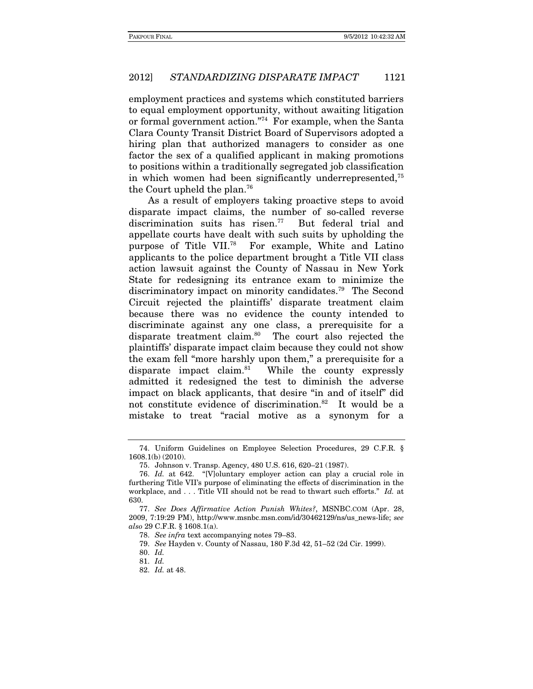employment practices and systems which constituted barriers to equal employment opportunity, without awaiting litigation or formal government action."74 For example, when the Santa Clara County Transit District Board of Supervisors adopted a hiring plan that authorized managers to consider as one factor the sex of a qualified applicant in making promotions to positions within a traditionally segregated job classification in which women had been significantly underrepresented,75 the Court upheld the plan.76

As a result of employers taking proactive steps to avoid disparate impact claims, the number of so-called reverse discrimination suits has risen.<sup>77</sup> But federal trial and appellate courts have dealt with such suits by upholding the purpose of Title VII.78 For example, White and Latino applicants to the police department brought a Title VII class action lawsuit against the County of Nassau in New York State for redesigning its entrance exam to minimize the discriminatory impact on minority candidates.79 The Second Circuit rejected the plaintiffs' disparate treatment claim because there was no evidence the county intended to discriminate against any one class, a prerequisite for a disparate treatment claim.<sup>80</sup> The court also rejected the plaintiffs' disparate impact claim because they could not show the exam fell "more harshly upon them," a prerequisite for a disparate impact claim.81 While the county expressly admitted it redesigned the test to diminish the adverse impact on black applicants, that desire "in and of itself" did not constitute evidence of discrimination.82 It would be a mistake to treat "racial motive as a synonym for a

 <sup>74.</sup> Uniform Guidelines on Employee Selection Procedures, 29 C.F.R. § 1608.1(b) (2010).

 <sup>75.</sup> Johnson v. Transp. Agency, 480 U.S. 616, 620–21 (1987).

<sup>76.</sup> Id. at 642. "[V]oluntary employer action can play a crucial role in furthering Title VII's purpose of eliminating the effects of discrimination in the workplace, and . . . Title VII should not be read to thwart such efforts." Id. at 630.

<sup>77.</sup> See Does Affirmative Action Punish Whites?, MSNBC.COM (Apr. 28, 2009, 7:19:29 PM), http://www.msnbc.msn.com/id/30462129/ns/us\_news-life; see also 29 C.F.R. § 1608.1(a).

<sup>78.</sup> See infra text accompanying notes 79–83.

<sup>79.</sup> See Hayden v. County of Nassau, 180 F.3d 42, 51–52 (2d Cir. 1999).

<sup>80.</sup> Id.

<sup>81.</sup> Id.

<sup>82.</sup> Id. at 48.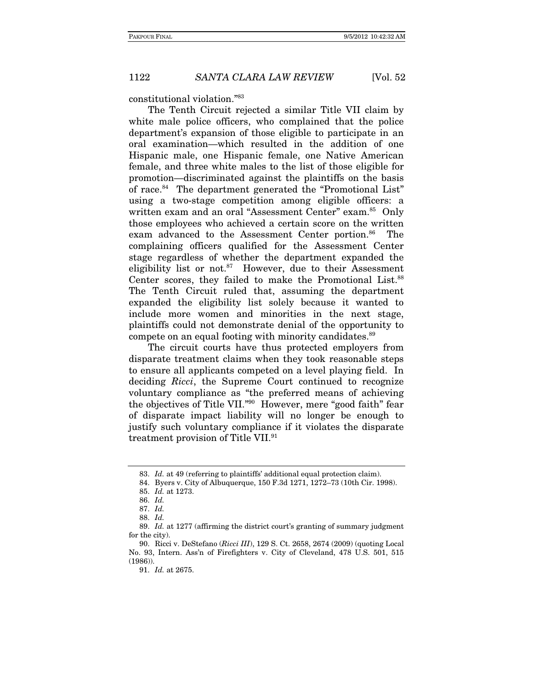constitutional violation."83

The Tenth Circuit rejected a similar Title VII claim by white male police officers, who complained that the police department's expansion of those eligible to participate in an oral examination—which resulted in the addition of one Hispanic male, one Hispanic female, one Native American female, and three white males to the list of those eligible for promotion—discriminated against the plaintiffs on the basis of race.84 The department generated the "Promotional List" using a two-stage competition among eligible officers: a written exam and an oral "Assessment Center" exam.<sup>85</sup> Only those employees who achieved a certain score on the written exam advanced to the Assessment Center portion.<sup>86</sup> The complaining officers qualified for the Assessment Center stage regardless of whether the department expanded the eligibility list or not. $87$  However, due to their Assessment Center scores, they failed to make the Promotional List.<sup>88</sup> The Tenth Circuit ruled that, assuming the department expanded the eligibility list solely because it wanted to include more women and minorities in the next stage, plaintiffs could not demonstrate denial of the opportunity to compete on an equal footing with minority candidates.<sup>89</sup>

The circuit courts have thus protected employers from disparate treatment claims when they took reasonable steps to ensure all applicants competed on a level playing field. In deciding Ricci, the Supreme Court continued to recognize voluntary compliance as "the preferred means of achieving the objectives of Title VII."90 However, mere "good faith" fear of disparate impact liability will no longer be enough to justify such voluntary compliance if it violates the disparate treatment provision of Title VII.91

<sup>83.</sup> Id. at 49 (referring to plaintiffs' additional equal protection claim).

 <sup>84.</sup> Byers v. City of Albuquerque, 150 F.3d 1271, 1272–73 (10th Cir. 1998).

<sup>85.</sup> Id. at 1273.

<sup>86.</sup> Id.

<sup>87.</sup> Id.

<sup>88.</sup> Id.

<sup>89.</sup> Id. at 1277 (affirming the district court's granting of summary judgment for the city).

 <sup>90.</sup> Ricci v. DeStefano (Ricci III), 129 S. Ct. 2658, 2674 (2009) (quoting Local No. 93, Intern. Ass'n of Firefighters v. City of Cleveland, 478 U.S. 501, 515 (1986)).

<sup>91.</sup> Id. at 2675.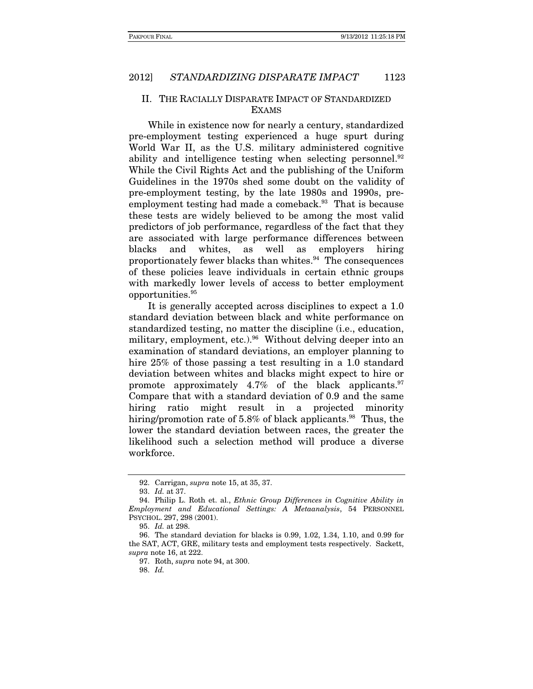# II. THE RACIALLY DISPARATE IMPACT OF STANDARDIZED EXAMS

While in existence now for nearly a century, standardized pre-employment testing experienced a huge spurt during World War II, as the U.S. military administered cognitive ability and intelligence testing when selecting personnel. $92$ While the Civil Rights Act and the publishing of the Uniform Guidelines in the 1970s shed some doubt on the validity of pre-employment testing, by the late 1980s and 1990s, preemployment testing had made a comeback.<sup>93</sup> That is because these tests are widely believed to be among the most valid predictors of job performance, regardless of the fact that they are associated with large performance differences between blacks and whites, as well as employers hiring proportionately fewer blacks than whites.94 The consequences of these policies leave individuals in certain ethnic groups with markedly lower levels of access to better employment opportunities.95

It is generally accepted across disciplines to expect a 1.0 standard deviation between black and white performance on standardized testing, no matter the discipline (i.e., education, military, employment, etc.).<sup>96</sup> Without delving deeper into an examination of standard deviations, an employer planning to hire 25% of those passing a test resulting in a 1.0 standard deviation between whites and blacks might expect to hire or promote approximately  $4.7\%$  of the black applicants.<sup>97</sup> Compare that with a standard deviation of 0.9 and the same hiring ratio might result in a projected minority hiring/promotion rate of 5.8% of black applicants.<sup>98</sup> Thus, the lower the standard deviation between races, the greater the likelihood such a selection method will produce a diverse workforce.

 <sup>92.</sup> Carrigan, supra note 15, at 35, 37.

<sup>93.</sup> Id. at 37.

<sup>94.</sup> Philip L. Roth et. al., *Ethnic Group Differences in Cognitive Ability in* Employment and Educational Settings: A Metaanalysis, 54 PERSONNEL PSYCHOL. 297, 298 (2001).

 <sup>95.</sup> Id. at 298.

 <sup>96.</sup> The standard deviation for blacks is 0.99, 1.02, 1.34, 1.10, and 0.99 for the SAT, ACT, GRE, military tests and employment tests respectively. Sackett, supra note 16, at 222.

 <sup>97.</sup> Roth, supra note 94, at 300.

 <sup>98.</sup> Id.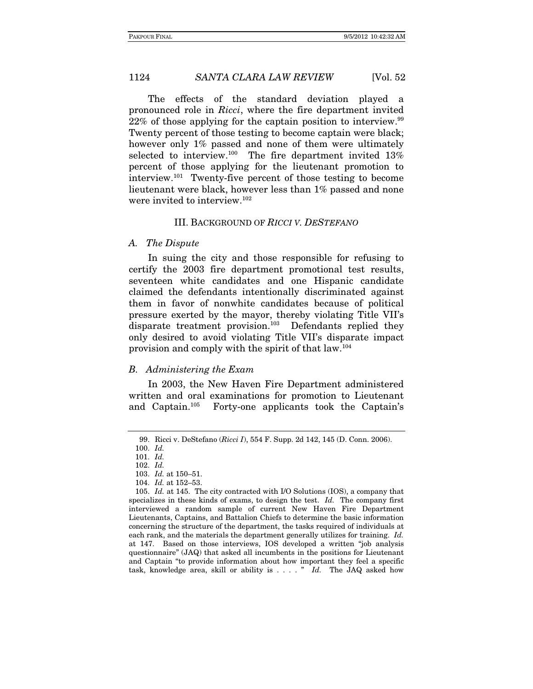The effects of the standard deviation played a pronounced role in Ricci, where the fire department invited  $22\%$  of those applying for the captain position to interview.<sup>99</sup> Twenty percent of those testing to become captain were black; however only 1% passed and none of them were ultimately selected to interview.<sup>100</sup> The fire department invited 13% percent of those applying for the lieutenant promotion to interview.101 Twenty-five percent of those testing to become lieutenant were black, however less than 1% passed and none were invited to interview.<sup>102</sup>

#### III. BACKGROUND OF RICCI V. DESTEFANO

#### A. The Dispute

In suing the city and those responsible for refusing to certify the 2003 fire department promotional test results, seventeen white candidates and one Hispanic candidate claimed the defendants intentionally discriminated against them in favor of nonwhite candidates because of political pressure exerted by the mayor, thereby violating Title VII's disparate treatment provision.<sup>103</sup> Defendants replied they only desired to avoid violating Title VII's disparate impact provision and comply with the spirit of that law.104

#### B. Administering the Exam

In 2003, the New Haven Fire Department administered written and oral examinations for promotion to Lieutenant and Captain.105 Forty-one applicants took the Captain's

 <sup>99.</sup> Ricci v. DeStefano (Ricci I), 554 F. Supp. 2d 142, 145 (D. Conn. 2006).

<sup>100.</sup> Id.

<sup>101.</sup> Id. 102. Id.

<sup>103.</sup> Id. at 150–51. 104. Id. at 152–53.

 <sup>105.</sup> Id. at 145. The city contracted with I/O Solutions (IOS), a company that

specializes in these kinds of exams, to design the test. Id. The company first interviewed a random sample of current New Haven Fire Department Lieutenants, Captains, and Battalion Chiefs to determine the basic information concerning the structure of the department, the tasks required of individuals at each rank, and the materials the department generally utilizes for training. Id. at 147. Based on those interviews, IOS developed a written "job analysis questionnaire" (JAQ) that asked all incumbents in the positions for Lieutenant and Captain "to provide information about how important they feel a specific task, knowledge area, skill or ability is  $\dots$  " Id. The JAQ asked how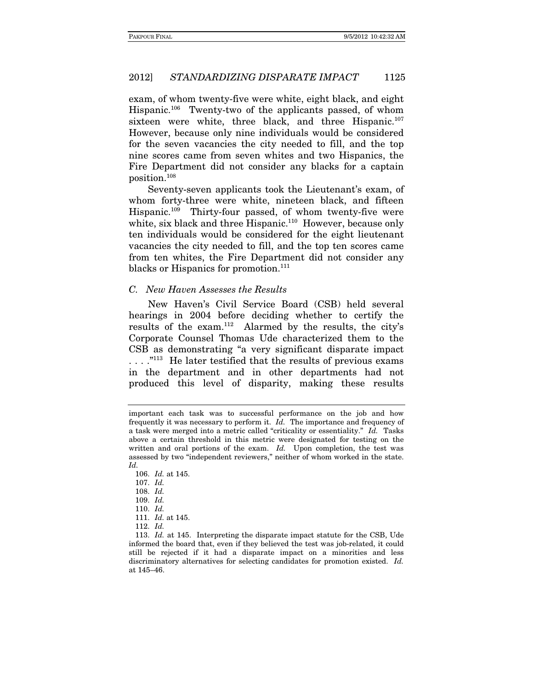exam, of whom twenty-five were white, eight black, and eight Hispanic.106 Twenty-two of the applicants passed, of whom sixteen were white, three black, and three Hispanic.<sup>107</sup> However, because only nine individuals would be considered for the seven vacancies the city needed to fill, and the top nine scores came from seven whites and two Hispanics, the Fire Department did not consider any blacks for a captain position.108

Seventy-seven applicants took the Lieutenant's exam, of whom forty-three were white, nineteen black, and fifteen Hispanic.109 Thirty-four passed, of whom twenty-five were white, six black and three Hispanic.<sup>110</sup> However, because only ten individuals would be considered for the eight lieutenant vacancies the city needed to fill, and the top ten scores came from ten whites, the Fire Department did not consider any blacks or Hispanics for promotion.<sup>111</sup>

#### C. New Haven Assesses the Results

New Haven's Civil Service Board (CSB) held several hearings in 2004 before deciding whether to certify the results of the exam.112 Alarmed by the results, the city's Corporate Counsel Thomas Ude characterized them to the CSB as demonstrating "a very significant disparate impact ...."<sup>113</sup> He later testified that the results of previous exams in the department and in other departments had not produced this level of disparity, making these results

important each task was to successful performance on the job and how frequently it was necessary to perform it. Id. The importance and frequency of a task were merged into a metric called "criticality or essentiality." Id. Tasks above a certain threshold in this metric were designated for testing on the written and oral portions of the exam. Id. Upon completion, the test was assessed by two "independent reviewers," neither of whom worked in the state. Id.

<sup>106.</sup> Id. at 145.

<sup>107.</sup> Id.

<sup>108.</sup> Id.

<sup>109.</sup> Id.

<sup>110.</sup> Id.

 <sup>111.</sup> Id. at 145.

<sup>112.</sup> Id.

<sup>113.</sup> Id. at 145. Interpreting the disparate impact statute for the CSB, Ude informed the board that, even if they believed the test was job-related, it could still be rejected if it had a disparate impact on a minorities and less discriminatory alternatives for selecting candidates for promotion existed. Id. at 145–46.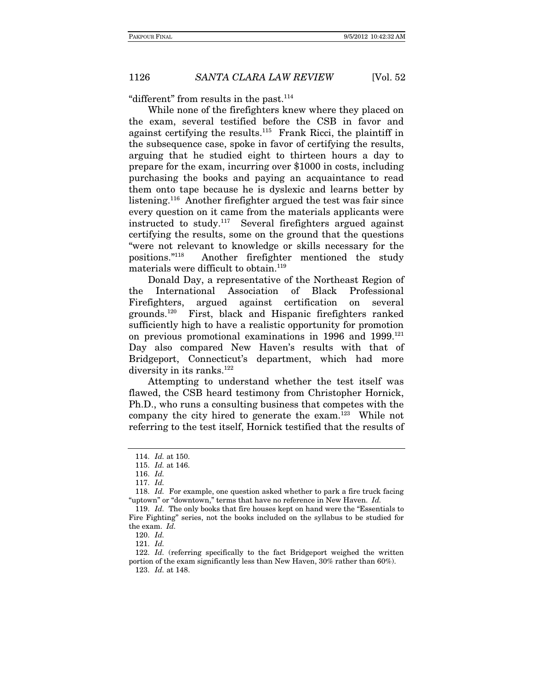"different" from results in the past. $114$ 

While none of the firefighters knew where they placed on the exam, several testified before the CSB in favor and against certifying the results.<sup>115</sup> Frank Ricci, the plaintiff in the subsequence case, spoke in favor of certifying the results, arguing that he studied eight to thirteen hours a day to prepare for the exam, incurring over \$1000 in costs, including purchasing the books and paying an acquaintance to read them onto tape because he is dyslexic and learns better by listening.<sup>116</sup> Another firefighter argued the test was fair since every question on it came from the materials applicants were instructed to study.117 Several firefighters argued against certifying the results, some on the ground that the questions "were not relevant to knowledge or skills necessary for the positions."118 Another firefighter mentioned the study materials were difficult to obtain.<sup>119</sup>

Donald Day, a representative of the Northeast Region of the International Association of Black Professional Firefighters, argued against certification on several grounds.120 First, black and Hispanic firefighters ranked sufficiently high to have a realistic opportunity for promotion on previous promotional examinations in 1996 and 1999.121 Day also compared New Haven's results with that of Bridgeport, Connecticut's department, which had more diversity in its ranks.<sup>122</sup>

Attempting to understand whether the test itself was flawed, the CSB heard testimony from Christopher Hornick, Ph.D., who runs a consulting business that competes with the company the city hired to generate the exam.123 While not referring to the test itself, Hornick testified that the results of

<sup>114.</sup> Id. at 150.

<sup>115.</sup> Id. at 146.

<sup>116.</sup> Id.

 <sup>117.</sup> Id.

<sup>118.</sup> Id. For example, one question asked whether to park a fire truck facing "uptown" or "downtown," terms that have no reference in New Haven. Id.

<sup>119.</sup> Id. The only books that fire houses kept on hand were the "Essentials to Fire Fighting" series, not the books included on the syllabus to be studied for the exam. Id.

<sup>120.</sup> Id.

<sup>121.</sup> Id.

<sup>122.</sup> Id. (referring specifically to the fact Bridgeport weighed the written portion of the exam significantly less than New Haven, 30% rather than 60%).

 <sup>123.</sup> Id. at 148.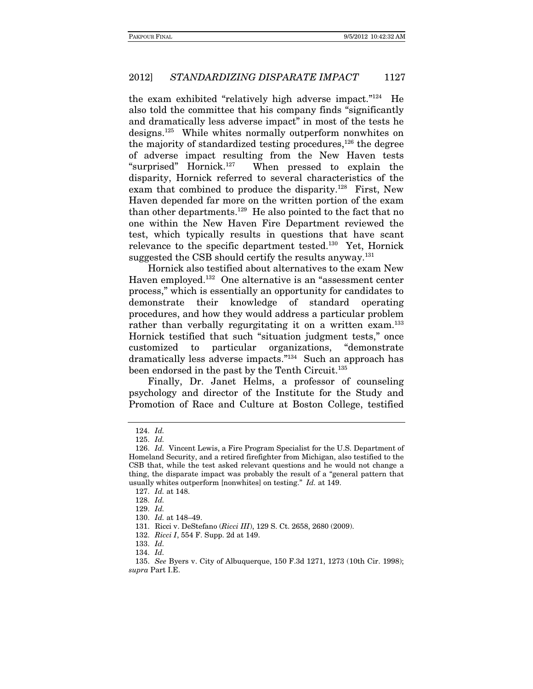the exam exhibited "relatively high adverse impact."124 He also told the committee that his company finds "significantly and dramatically less adverse impact" in most of the tests he designs.125 While whites normally outperform nonwhites on the majority of standardized testing procedures, $126$  the degree of adverse impact resulting from the New Haven tests "surprised" Hornick.127 When pressed to explain the disparity, Hornick referred to several characteristics of the exam that combined to produce the disparity.<sup>128</sup> First, New Haven depended far more on the written portion of the exam than other departments.129 He also pointed to the fact that no one within the New Haven Fire Department reviewed the test, which typically results in questions that have scant relevance to the specific department tested.130 Yet, Hornick suggested the CSB should certify the results anyway.<sup>131</sup>

Hornick also testified about alternatives to the exam New Haven employed.132 One alternative is an "assessment center process," which is essentially an opportunity for candidates to demonstrate their knowledge of standard operating procedures, and how they would address a particular problem rather than verbally regurgitating it on a written exam.<sup>133</sup> Hornick testified that such "situation judgment tests," once customized to particular organizations, "demonstrate dramatically less adverse impacts."134 Such an approach has been endorsed in the past by the Tenth Circuit.<sup>135</sup>

Finally, Dr. Janet Helms, a professor of counseling psychology and director of the Institute for the Study and Promotion of Race and Culture at Boston College, testified

<sup>124.</sup> Id.

<sup>125.</sup> Id.

<sup>126.</sup> Id. Vincent Lewis, a Fire Program Specialist for the U.S. Department of Homeland Security, and a retired firefighter from Michigan, also testified to the CSB that, while the test asked relevant questions and he would not change a thing, the disparate impact was probably the result of a "general pattern that usually whites outperform [nonwhites] on testing." Id. at 149.

<sup>127.</sup> Id. at 148.

<sup>128.</sup> Id.

 <sup>129.</sup> Id.

<sup>130.</sup> Id. at 148–49.

 <sup>131.</sup> Ricci v. DeStefano (Ricci III), 129 S. Ct. 2658, 2680 (2009).

<sup>132.</sup> Ricci I, 554 F. Supp. 2d at 149.

<sup>133.</sup> Id.

<sup>134.</sup> Id.

<sup>135.</sup> See Byers v. City of Albuquerque, 150 F.3d 1271, 1273 (10th Cir. 1998); supra Part I.E.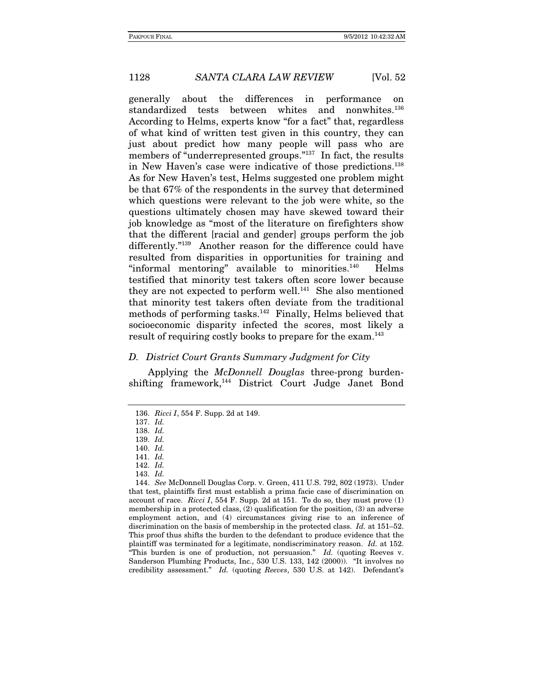generally about the differences in performance on standardized tests between whites and nonwhites.<sup>136</sup> According to Helms, experts know "for a fact" that, regardless of what kind of written test given in this country, they can just about predict how many people will pass who are members of "underrepresented groups."137 In fact, the results in New Haven's case were indicative of those predictions.138 As for New Haven's test, Helms suggested one problem might be that 67% of the respondents in the survey that determined which questions were relevant to the job were white, so the questions ultimately chosen may have skewed toward their job knowledge as "most of the literature on firefighters show that the different [racial and gender] groups perform the job differently."139 Another reason for the difference could have resulted from disparities in opportunities for training and "informal mentoring" available to minorities. $140$  Helms testified that minority test takers often score lower because they are not expected to perform well.<sup>141</sup> She also mentioned that minority test takers often deviate from the traditional methods of performing tasks.<sup>142</sup> Finally, Helms believed that socioeconomic disparity infected the scores, most likely a result of requiring costly books to prepare for the exam.<sup>143</sup>

#### D. District Court Grants Summary Judgment for City

Applying the *McDonnell Douglas* three-prong burdenshifting framework,144 District Court Judge Janet Bond

<sup>136.</sup> Ricci I, 554 F. Supp. 2d at 149.

<sup>137.</sup> Id.

<sup>138.</sup> Id.

<sup>139.</sup> Id.

<sup>140.</sup> Id.

<sup>141.</sup> Id.

 <sup>142.</sup> Id.

<sup>143.</sup> Id.

<sup>144.</sup> See McDonnell Douglas Corp. v. Green, 411 U.S. 792, 802 (1973). Under that test, plaintiffs first must establish a prima facie case of discrimination on account of race. Ricci I, 554 F. Supp. 2d at 151. To do so, they must prove  $(1)$ membership in a protected class, (2) qualification for the position, (3) an adverse employment action, and (4) circumstances giving rise to an inference of discrimination on the basis of membership in the protected class. Id. at 151–52. This proof thus shifts the burden to the defendant to produce evidence that the plaintiff was terminated for a legitimate, nondiscriminatory reason. Id. at 152. "This burden is one of production, not persuasion." Id. (quoting Reeves v. Sanderson Plumbing Products, Inc., 530 U.S. 133, 142 (2000)). "It involves no credibility assessment." Id. (quoting Reeves, 530 U.S. at 142). Defendant's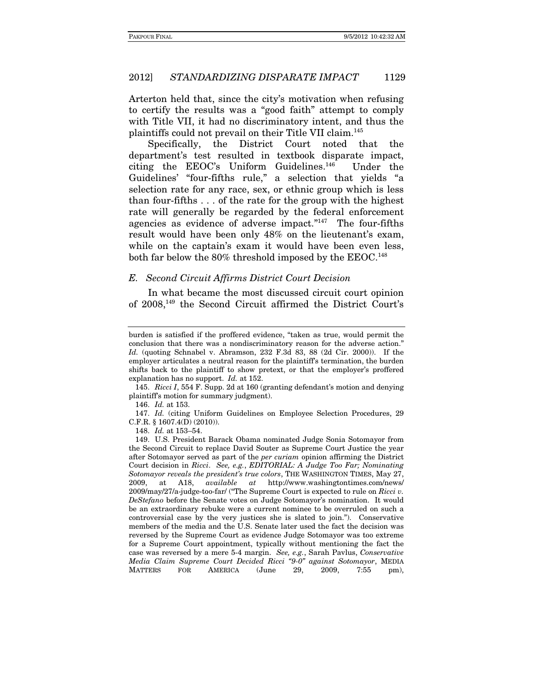Arterton held that, since the city's motivation when refusing to certify the results was a "good faith" attempt to comply with Title VII, it had no discriminatory intent, and thus the plaintiffs could not prevail on their Title VII claim.145

Specifically, the District Court noted that the department's test resulted in textbook disparate impact, citing the EEOC's Uniform Guidelines.146 Under the Guidelines' "four-fifths rule," a selection that yields "a selection rate for any race, sex, or ethnic group which is less than four-fifths . . . of the rate for the group with the highest rate will generally be regarded by the federal enforcement agencies as evidence of adverse impact."<sup>147</sup> The four-fifths result would have been only 48% on the lieutenant's exam, while on the captain's exam it would have been even less, both far below the 80% threshold imposed by the EEOC.148

### E. Second Circuit Affirms District Court Decision

In what became the most discussed circuit court opinion of 2008,149 the Second Circuit affirmed the District Court's

148. Id. at 153–54.

burden is satisfied if the proffered evidence, "taken as true, would permit the conclusion that there was a nondiscriminatory reason for the adverse action." Id. (quoting Schnabel v. Abramson, 232 F.3d 83, 88 (2d Cir. 2000)). If the employer articulates a neutral reason for the plaintiff's termination, the burden shifts back to the plaintiff to show pretext, or that the employer's proffered explanation has no support. Id. at 152.

<sup>145.</sup> Ricci I, 554 F. Supp. 2d at 160 (granting defendant's motion and denying plaintiff's motion for summary judgment).

<sup>146.</sup> Id. at 153.

<sup>147.</sup> Id. (citing Uniform Guidelines on Employee Selection Procedures, 29 C.F.R. § 1607.4(D) (2010)).

 <sup>149.</sup> U.S. President Barack Obama nominated Judge Sonia Sotomayor from the Second Circuit to replace David Souter as Supreme Court Justice the year after Sotomayor served as part of the per curiam opinion affirming the District Court decision in Ricci. See, e.g., EDITORIAL: A Judge Too Far; Nominating Sotomayor reveals the president's true colors, THE WASHINGTON TIMES, May 27,<br>2009, at A18, *available* at http://www.washingtontimes.com/news/ 2009, at A18, available at http://www.washingtontimes.com/news/  $2009/\text{may}/27/\text{a}-\text{judge-too-far}$  ("The Supreme Court is expected to rule on Ricci v. DeStefano before the Senate votes on Judge Sotomayor's nomination. It would be an extraordinary rebuke were a current nominee to be overruled on such a controversial case by the very justices she is slated to join."). Conservative members of the media and the U.S. Senate later used the fact the decision was reversed by the Supreme Court as evidence Judge Sotomayor was too extreme for a Supreme Court appointment, typically without mentioning the fact the case was reversed by a mere 5-4 margin. See, e.g., Sarah Pavlus, Conservative Media Claim Supreme Court Decided Ricci "9-0" against Sotomayor, MEDIA MATTERS FOR AMERICA (June 29, 2009, 7:55 pm),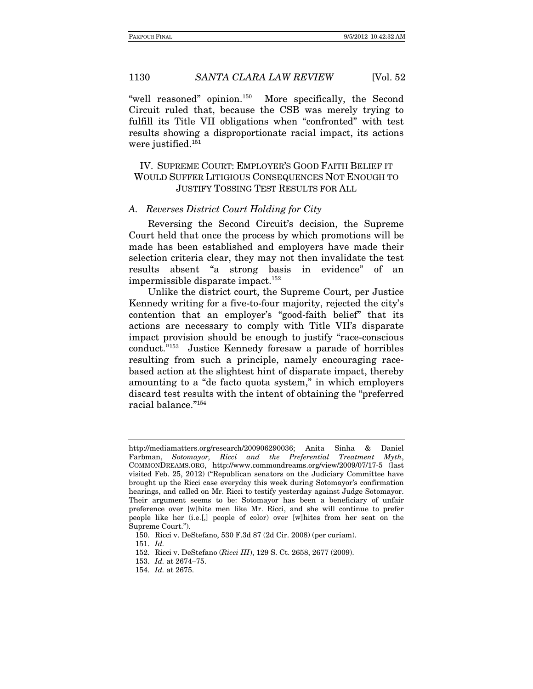"well reasoned" opinion.150 More specifically, the Second Circuit ruled that, because the CSB was merely trying to fulfill its Title VII obligations when "confronted" with test results showing a disproportionate racial impact, its actions were justified.<sup>151</sup>

# IV. SUPREME COURT: EMPLOYER'S GOOD FAITH BELIEF IT WOULD SUFFER LITIGIOUS CONSEQUENCES NOT ENOUGH TO JUSTIFY TOSSING TEST RESULTS FOR ALL

## A. Reverses District Court Holding for City

Reversing the Second Circuit's decision, the Supreme Court held that once the process by which promotions will be made has been established and employers have made their selection criteria clear, they may not then invalidate the test results absent "a strong basis in evidence" of an impermissible disparate impact.152

Unlike the district court, the Supreme Court, per Justice Kennedy writing for a five-to-four majority, rejected the city's contention that an employer's "good-faith belief" that its actions are necessary to comply with Title VII's disparate impact provision should be enough to justify "race-conscious conduct."153 Justice Kennedy foresaw a parade of horribles resulting from such a principle, namely encouraging racebased action at the slightest hint of disparate impact, thereby amounting to a "de facto quota system," in which employers discard test results with the intent of obtaining the "preferred racial balance."154

http://mediamatters.org/research/200906290036; Anita Sinha & Daniel Farbman, Sotomayor, Ricci and the Preferential Treatment Myth, COMMONDREAMS.ORG, http://www.commondreams.org/view/2009/07/17-5 (last visited Feb. 25, 2012) ("Republican senators on the Judiciary Committee have brought up the Ricci case everyday this week during Sotomayor's confirmation hearings, and called on Mr. Ricci to testify yesterday against Judge Sotomayor. Their argument seems to be: Sotomayor has been a beneficiary of unfair preference over [w]hite men like Mr. Ricci, and she will continue to prefer people like her (i.e.[,] people of color) over [w]hites from her seat on the Supreme Court.").

 <sup>150.</sup> Ricci v. DeStefano, 530 F.3d 87 (2d Cir. 2008) (per curiam).

<sup>151.</sup> Id.

 <sup>152.</sup> Ricci v. DeStefano (Ricci III), 129 S. Ct. 2658, 2677 (2009).

<sup>153.</sup> Id. at 2674–75.

<sup>154.</sup> Id. at 2675.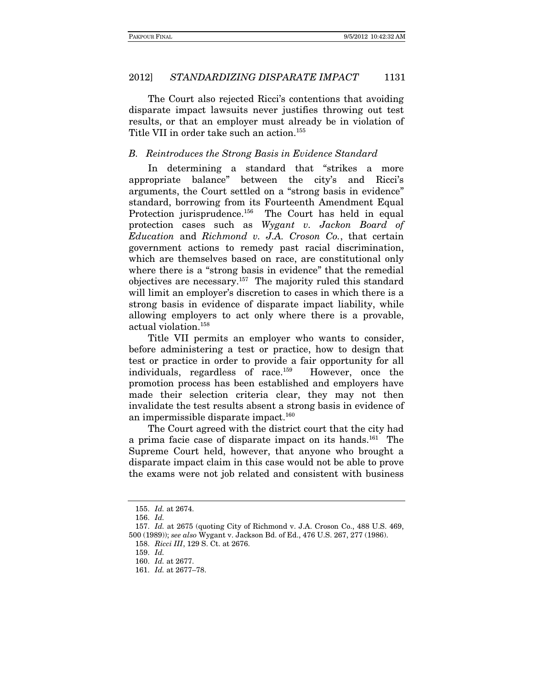The Court also rejected Ricci's contentions that avoiding disparate impact lawsuits never justifies throwing out test results, or that an employer must already be in violation of Title VII in order take such an action.<sup>155</sup>

# B. Reintroduces the Strong Basis in Evidence Standard

In determining a standard that "strikes a more appropriate balance" between the city's and Ricci's arguments, the Court settled on a "strong basis in evidence" standard, borrowing from its Fourteenth Amendment Equal Protection jurisprudence.<sup>156</sup> The Court has held in equal protection cases such as Wygant v. Jackon Board of Education and Richmond v. J.A. Croson Co., that certain government actions to remedy past racial discrimination, which are themselves based on race, are constitutional only where there is a "strong basis in evidence" that the remedial objectives are necessary.157 The majority ruled this standard will limit an employer's discretion to cases in which there is a strong basis in evidence of disparate impact liability, while allowing employers to act only where there is a provable, actual violation.158

Title VII permits an employer who wants to consider, before administering a test or practice, how to design that test or practice in order to provide a fair opportunity for all individuals, regardless of race.159 However, once the promotion process has been established and employers have made their selection criteria clear, they may not then invalidate the test results absent a strong basis in evidence of an impermissible disparate impact.160

The Court agreed with the district court that the city had a prima facie case of disparate impact on its hands.161 The Supreme Court held, however, that anyone who brought a disparate impact claim in this case would not be able to prove the exams were not job related and consistent with business

<sup>155.</sup> Id. at 2674.

<sup>156.</sup> Id.

<sup>157.</sup> Id. at 2675 (quoting City of Richmond v. J.A. Croson Co., 488 U.S. 469, 500 (1989)); see also Wygant v. Jackson Bd. of Ed., 476 U.S. 267, 277 (1986).

 <sup>158.</sup> Ricci III, 129 S. Ct. at 2676.

<sup>159.</sup> Id.

<sup>160.</sup> Id. at 2677.

<sup>161.</sup> Id. at 2677–78.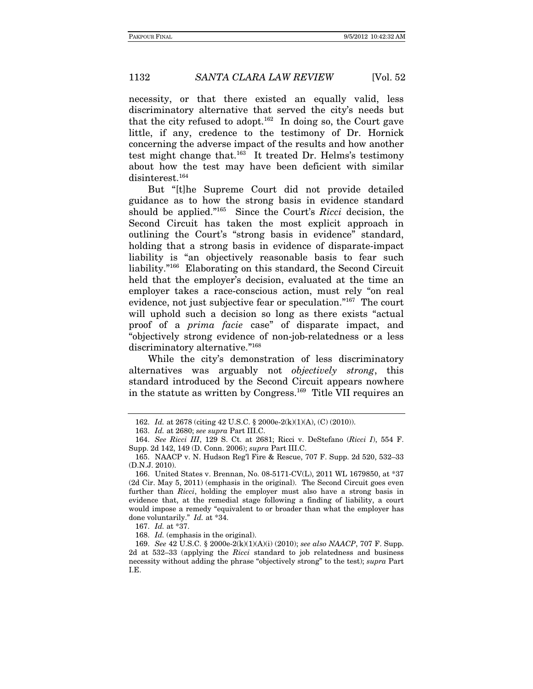necessity, or that there existed an equally valid, less discriminatory alternative that served the city's needs but that the city refused to adopt.<sup>162</sup> In doing so, the Court gave little, if any, credence to the testimony of Dr. Hornick concerning the adverse impact of the results and how another test might change that.163 It treated Dr. Helms's testimony about how the test may have been deficient with similar disinterest.<sup>164</sup>

But "[t]he Supreme Court did not provide detailed guidance as to how the strong basis in evidence standard should be applied."<sup>165</sup> Since the Court's Ricci decision, the Second Circuit has taken the most explicit approach in outlining the Court's "strong basis in evidence" standard, holding that a strong basis in evidence of disparate-impact liability is "an objectively reasonable basis to fear such liability."166 Elaborating on this standard, the Second Circuit held that the employer's decision, evaluated at the time an employer takes a race-conscious action, must rely "on real evidence, not just subjective fear or speculation."167 The court will uphold such a decision so long as there exists "actual proof of a prima facie case" of disparate impact, and "objectively strong evidence of non-job-relatedness or a less discriminatory alternative."<sup>168</sup>

While the city's demonstration of less discriminatory alternatives was arguably not objectively strong, this standard introduced by the Second Circuit appears nowhere in the statute as written by Congress.169 Title VII requires an

<sup>162.</sup> Id. at 2678 (citing 42 U.S.C. § 2000e-2(k)(1)(A), (C) (2010)).

<sup>163.</sup> Id. at 2680; see supra Part III.C.

<sup>164.</sup> See Ricci III, 129 S. Ct. at 2681; Ricci v. DeStefano (Ricci I), 554 F. Supp. 2d 142, 149 (D. Conn. 2006); supra Part III.C.

 <sup>165.</sup> NAACP v. N. Hudson Reg'l Fire & Rescue, 707 F. Supp. 2d 520, 532–33 (D.N.J. 2010).

 <sup>166.</sup> United States v. Brennan, No. 08-5171-CV(L), 2011 WL 1679850, at \*37 (2d Cir. May 5, 2011) (emphasis in the original). The Second Circuit goes even further than Ricci, holding the employer must also have a strong basis in evidence that, at the remedial stage following a finding of liability, a court would impose a remedy "equivalent to or broader than what the employer has done voluntarily." Id. at \*34.

<sup>167.</sup> Id. at \*37.

<sup>168.</sup> Id. (emphasis in the original).

<sup>169.</sup> See 42 U.S.C. § 2000e-2(k)(1)(A)(i) (2010); see also NAACP, 707 F. Supp. 2d at 532–33 (applying the Ricci standard to job relatedness and business necessity without adding the phrase "objectively strong" to the test); supra Part I.E.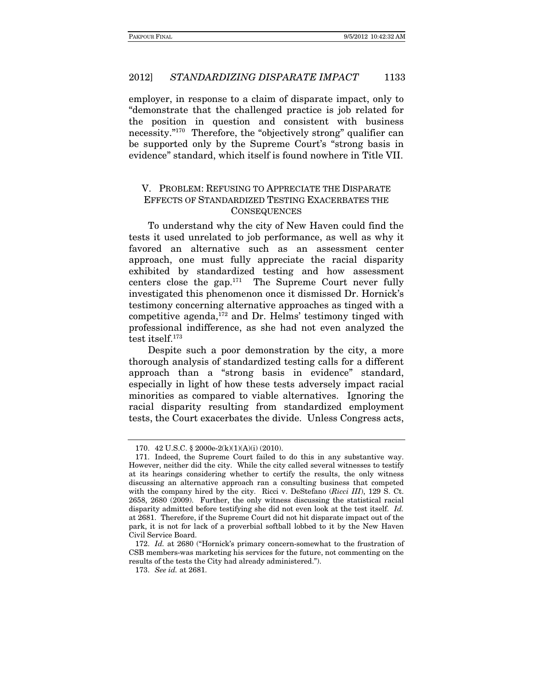employer, in response to a claim of disparate impact, only to "demonstrate that the challenged practice is job related for the position in question and consistent with business necessity."170 Therefore, the "objectively strong" qualifier can be supported only by the Supreme Court's "strong basis in evidence" standard, which itself is found nowhere in Title VII.

# V. PROBLEM: REFUSING TO APPRECIATE THE DISPARATE EFFECTS OF STANDARDIZED TESTING EXACERBATES THE **CONSEQUENCES**

To understand why the city of New Haven could find the tests it used unrelated to job performance, as well as why it favored an alternative such as an assessment center approach, one must fully appreciate the racial disparity exhibited by standardized testing and how assessment centers close the gap.171 The Supreme Court never fully investigated this phenomenon once it dismissed Dr. Hornick's testimony concerning alternative approaches as tinged with a competitive agenda, $172$  and Dr. Helms' testimony tinged with professional indifference, as she had not even analyzed the test itself.173

Despite such a poor demonstration by the city, a more thorough analysis of standardized testing calls for a different approach than a "strong basis in evidence" standard, especially in light of how these tests adversely impact racial minorities as compared to viable alternatives. Ignoring the racial disparity resulting from standardized employment tests, the Court exacerbates the divide. Unless Congress acts,

 <sup>170. 42</sup> U.S.C. § 2000e-2(k)(1)(A)(i) (2010).

 <sup>171.</sup> Indeed, the Supreme Court failed to do this in any substantive way. However, neither did the city. While the city called several witnesses to testify at its hearings considering whether to certify the results, the only witness discussing an alternative approach ran a consulting business that competed with the company hired by the city. Ricci v. DeStefano (*Ricci III*), 129 S. Ct. 2658, 2680 (2009). Further, the only witness discussing the statistical racial disparity admitted before testifying she did not even look at the test itself. Id. at 2681. Therefore, if the Supreme Court did not hit disparate impact out of the park, it is not for lack of a proverbial softball lobbed to it by the New Haven Civil Service Board.

<sup>172.</sup> Id. at 2680 ("Hornick's primary concern-somewhat to the frustration of CSB members-was marketing his services for the future, not commenting on the results of the tests the City had already administered.").

<sup>173.</sup> See id. at 2681.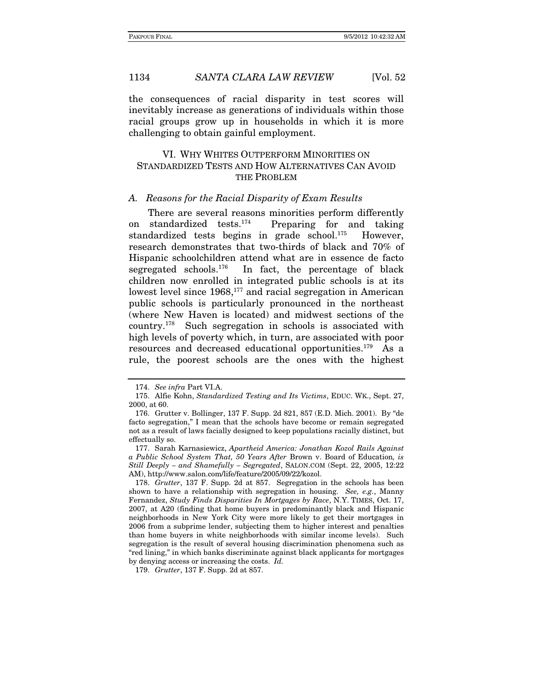the consequences of racial disparity in test scores will inevitably increase as generations of individuals within those racial groups grow up in households in which it is more challenging to obtain gainful employment.

# VI. WHY WHITES OUTPERFORM MINORITIES ON STANDARDIZED TESTS AND HOW ALTERNATIVES CAN AVOID THE PROBLEM

#### A. Reasons for the Racial Disparity of Exam Results

There are several reasons minorities perform differently<br>on standardized tests.<sup>174</sup> Preparing for and taking Preparing for and taking standardized tests begins in grade school.<sup>175</sup> However, research demonstrates that two-thirds of black and 70% of Hispanic schoolchildren attend what are in essence de facto segregated schools.<sup>176</sup> In fact, the percentage of black children now enrolled in integrated public schools is at its lowest level since  $1968$ ,<sup>177</sup> and racial segregation in American public schools is particularly pronounced in the northeast (where New Haven is located) and midwest sections of the country.178 Such segregation in schools is associated with high levels of poverty which, in turn, are associated with poor resources and decreased educational opportunities.179 As a rule, the poorest schools are the ones with the highest

<sup>174.</sup> See infra Part VI.A.

 <sup>175.</sup> Alfie Kohn, Standardized Testing and Its Victims, EDUC. WK., Sept. 27, 2000, at 60.

 <sup>176.</sup> Grutter v. Bollinger, 137 F. Supp. 2d 821, 857 (E.D. Mich. 2001). By "de facto segregation," I mean that the schools have become or remain segregated not as a result of laws facially designed to keep populations racially distinct, but effectually so.

 <sup>177.</sup> Sarah Karnasiewicz, Apartheid America: Jonathan Kozol Rails Against a Public School System That, 50 Years After Brown v. Board of Education, is Still Deeply – and Shamefully – Segregated, SALON.COM (Sept. 22, 2005, 12:22 AM), http://www.salon.com/life/feature/2005/09/22/kozol.

<sup>178.</sup> Grutter, 137 F. Supp. 2d at 857. Segregation in the schools has been shown to have a relationship with segregation in housing. See, e.g., Manny Fernandez, Study Finds Disparities In Mortgages by Race, N.Y. TIMES, Oct. 17, 2007, at A20 (finding that home buyers in predominantly black and Hispanic neighborhoods in New York City were more likely to get their mortgages in 2006 from a subprime lender, subjecting them to higher interest and penalties than home buyers in white neighborhoods with similar income levels). Such segregation is the result of several housing discrimination phenomena such as "red lining," in which banks discriminate against black applicants for mortgages by denying access or increasing the costs. Id.

<sup>179.</sup> Grutter, 137 F. Supp. 2d at 857.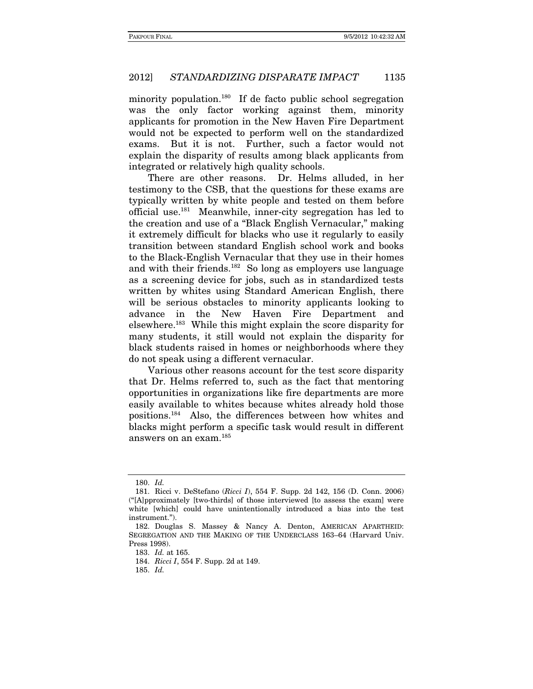minority population.<sup>180</sup> If de facto public school segregation was the only factor working against them, minority applicants for promotion in the New Haven Fire Department would not be expected to perform well on the standardized exams. But it is not. Further, such a factor would not explain the disparity of results among black applicants from integrated or relatively high quality schools.

There are other reasons. Dr. Helms alluded, in her testimony to the CSB, that the questions for these exams are typically written by white people and tested on them before official use.181 Meanwhile, inner-city segregation has led to the creation and use of a "Black English Vernacular," making it extremely difficult for blacks who use it regularly to easily transition between standard English school work and books to the Black-English Vernacular that they use in their homes and with their friends.182 So long as employers use language as a screening device for jobs, such as in standardized tests written by whites using Standard American English, there will be serious obstacles to minority applicants looking to advance in the New Haven Fire Department and elsewhere.183 While this might explain the score disparity for many students, it still would not explain the disparity for black students raised in homes or neighborhoods where they do not speak using a different vernacular.

Various other reasons account for the test score disparity that Dr. Helms referred to, such as the fact that mentoring opportunities in organizations like fire departments are more easily available to whites because whites already hold those positions.184 Also, the differences between how whites and blacks might perform a specific task would result in different answers on an exam.185

<sup>180.</sup> Id.

 <sup>181.</sup> Ricci v. DeStefano (Ricci I), 554 F. Supp. 2d 142, 156 (D. Conn. 2006) ("[A]pproximately [two-thirds] of those interviewed [to assess the exam] were white [which] could have unintentionally introduced a bias into the test instrument.").

 <sup>182.</sup> Douglas S. Massey & Nancy A. Denton, AMERICAN APARTHEID: SEGREGATION AND THE MAKING OF THE UNDERCLASS 163–64 (Harvard Univ. Press 1998).

<sup>183.</sup> Id. at 165.

<sup>184.</sup> Ricci I, 554 F. Supp. 2d at 149.

<sup>185.</sup> Id.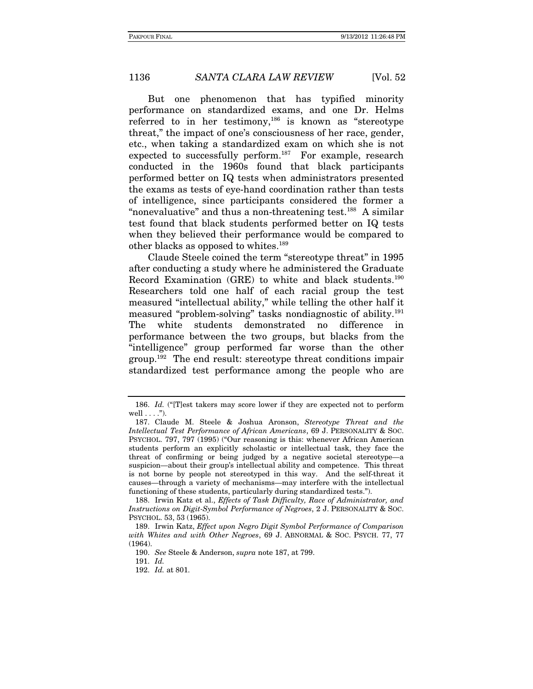But one phenomenon that has typified minority performance on standardized exams, and one Dr. Helms referred to in her testimony,<sup>186</sup> is known as "stereotype" threat," the impact of one's consciousness of her race, gender, etc., when taking a standardized exam on which she is not expected to successfully perform.<sup>187</sup> For example, research conducted in the 1960s found that black participants performed better on IQ tests when administrators presented the exams as tests of eye-hand coordination rather than tests of intelligence, since participants considered the former a "nonevaluative" and thus a non-threatening test.<sup>188</sup> A similar test found that black students performed better on IQ tests when they believed their performance would be compared to other blacks as opposed to whites.<sup>189</sup>

Claude Steele coined the term "stereotype threat" in 1995 after conducting a study where he administered the Graduate Record Examination (GRE) to white and black students.190 Researchers told one half of each racial group the test measured "intellectual ability," while telling the other half it measured "problem-solving" tasks nondiagnostic of ability.191 The white students demonstrated no difference in performance between the two groups, but blacks from the "intelligence" group performed far worse than the other group.192 The end result: stereotype threat conditions impair standardized test performance among the people who are

 188. Irwin Katz et al., Effects of Task Difficulty, Race of Administrator, and Instructions on Digit-Symbol Performance of Negroes, 2 J. PERSONALITY & SOC. PSYCHOL. 53, 53 (1965).

<sup>186.</sup> Id. ("[T]est takers may score lower if they are expected not to perform well  $\dots$ .").

 <sup>187.</sup> Claude M. Steele & Joshua Aronson, Stereotype Threat and the Intellectual Test Performance of African Americans, 69 J. PERSONALITY & SOC. PSYCHOL. 797, 797 (1995) ("Our reasoning is this: whenever African American students perform an explicitly scholastic or intellectual task, they face the threat of confirming or being judged by a negative societal stereotype—a suspicion—about their group's intellectual ability and competence. This threat is not borne by people not stereotyped in this way. And the self-threat it causes—through a variety of mechanisms—may interfere with the intellectual functioning of these students, particularly during standardized tests.").

 <sup>189.</sup> Irwin Katz, Effect upon Negro Digit Symbol Performance of Comparison with Whites and with Other Negroes, 69 J. ABNORMAL & SOC. PSYCH. 77, 77 (1964).

<sup>190.</sup> See Steele & Anderson, supra note 187, at 799.

<sup>191.</sup>  $Id.$ 

<sup>192.</sup> Id. at 801.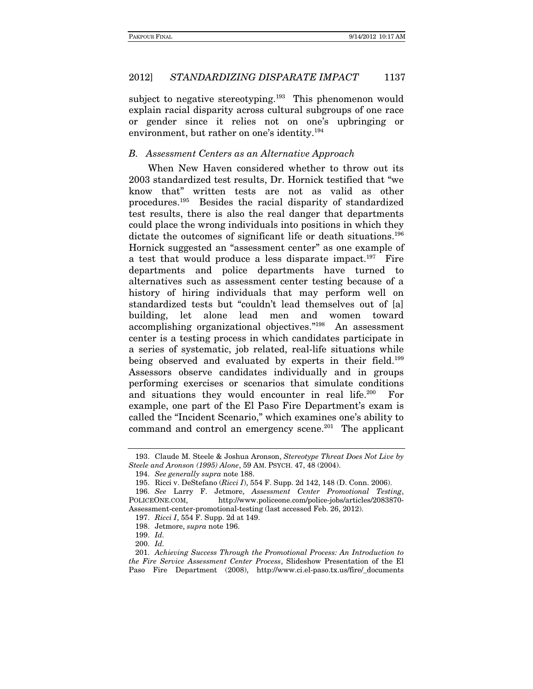subject to negative stereotyping.<sup>193</sup> This phenomenon would explain racial disparity across cultural subgroups of one race or gender since it relies not on one's upbringing or environment, but rather on one's identity.<sup>194</sup>

# B. Assessment Centers as an Alternative Approach

When New Haven considered whether to throw out its 2003 standardized test results, Dr. Hornick testified that "we know that" written tests are not as valid as other procedures.195 Besides the racial disparity of standardized test results, there is also the real danger that departments could place the wrong individuals into positions in which they dictate the outcomes of significant life or death situations.<sup>196</sup> Hornick suggested an "assessment center" as one example of a test that would produce a less disparate impact.<sup>197</sup> Fire departments and police departments have turned to alternatives such as assessment center testing because of a history of hiring individuals that may perform well on standardized tests but "couldn't lead themselves out of [a] building, let alone lead men and women toward accomplishing organizational objectives."198 An assessment center is a testing process in which candidates participate in a series of systematic, job related, real-life situations while being observed and evaluated by experts in their field.<sup>199</sup> Assessors observe candidates individually and in groups performing exercises or scenarios that simulate conditions and situations they would encounter in real life.<sup>200</sup> For example, one part of the El Paso Fire Department's exam is called the "Incident Scenario," which examines one's ability to command and control an emergency scene.<sup>201</sup> The applicant

 <sup>193.</sup> Claude M. Steele & Joshua Aronson, Stereotype Threat Does Not Live by Steele and Aronson (1995) Alone, 59 AM. PSYCH. 47, 48 (2004).

<sup>194.</sup> See generally supra note 188.

 <sup>195.</sup> Ricci v. DeStefano (Ricci I), 554 F. Supp. 2d 142, 148 (D. Conn. 2006).

<sup>196.</sup> See Larry F. Jetmore, Assessment Center Promotional Testing, POLICEONE.COM, http://www.policeone.com/police-jobs/articles/2083870- Assessment-center-promotional-testing (last accessed Feb. 26, 2012).

<sup>197.</sup> Ricci I, 554 F. Supp. 2d at 149.

 <sup>198.</sup> Jetmore, supra note 196.

<sup>199.</sup> Id.

<sup>200.</sup> Id.

 <sup>201.</sup> Achieving Success Through the Promotional Process: An Introduction to the Fire Service Assessment Center Process, Slideshow Presentation of the El Paso Fire Department (2008), http://www.ci.el-paso.tx.us/fire/\_documents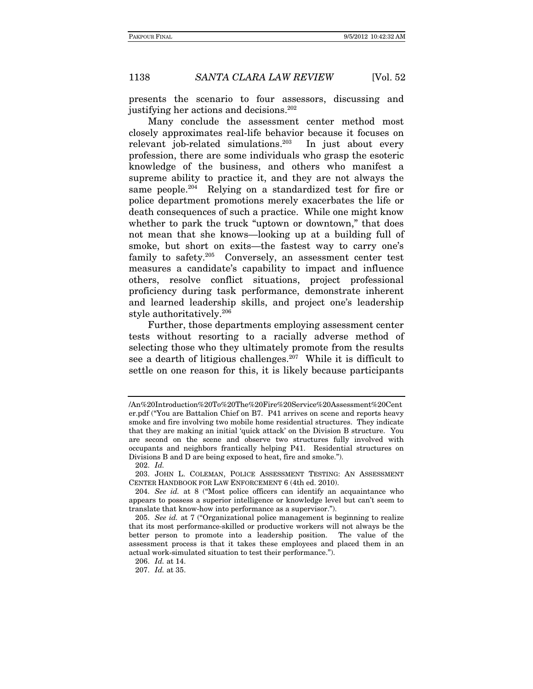presents the scenario to four assessors, discussing and justifying her actions and decisions.<sup>202</sup>

Many conclude the assessment center method most closely approximates real-life behavior because it focuses on relevant job-related simulations.<sup>203</sup> In just about every profession, there are some individuals who grasp the esoteric knowledge of the business, and others who manifest a supreme ability to practice it, and they are not always the same people.<sup>204</sup> Relying on a standardized test for fire or police department promotions merely exacerbates the life or death consequences of such a practice. While one might know whether to park the truck "uptown or downtown," that does not mean that she knows—looking up at a building full of smoke, but short on exits—the fastest way to carry one's family to safety.205 Conversely, an assessment center test measures a candidate's capability to impact and influence others, resolve conflict situations, project professional proficiency during task performance, demonstrate inherent and learned leadership skills, and project one's leadership style authoritatively.206

Further, those departments employing assessment center tests without resorting to a racially adverse method of selecting those who they ultimately promote from the results see a dearth of litigious challenges.<sup>207</sup> While it is difficult to settle on one reason for this, it is likely because participants

202. Id.

<sup>/</sup>An%20Introduction%20To%20The%20Fire%20Service%20Assessment%20Cent er.pdf ("You are Battalion Chief on B7. P41 arrives on scene and reports heavy smoke and fire involving two mobile home residential structures. They indicate that they are making an initial 'quick attack' on the Division B structure. You are second on the scene and observe two structures fully involved with occupants and neighbors frantically helping P41. Residential structures on Divisions B and D are being exposed to heat, fire and smoke.").

 <sup>203.</sup> JOHN L. COLEMAN, POLICE ASSESSMENT TESTING: AN ASSESSMENT CENTER HANDBOOK FOR LAW ENFORCEMENT 6 (4th ed. 2010).

<sup>204.</sup> See id. at 8 ("Most police officers can identify an acquaintance who appears to possess a superior intelligence or knowledge level but can't seem to translate that know-how into performance as a supervisor.").

<sup>205.</sup> See id. at 7 ("Organizational police management is beginning to realize that its most performance-skilled or productive workers will not always be the better person to promote into a leadership position. The value of the assessment process is that it takes these employees and placed them in an actual work-simulated situation to test their performance.").

<sup>206.</sup> Id. at 14.

<sup>207.</sup> Id. at 35.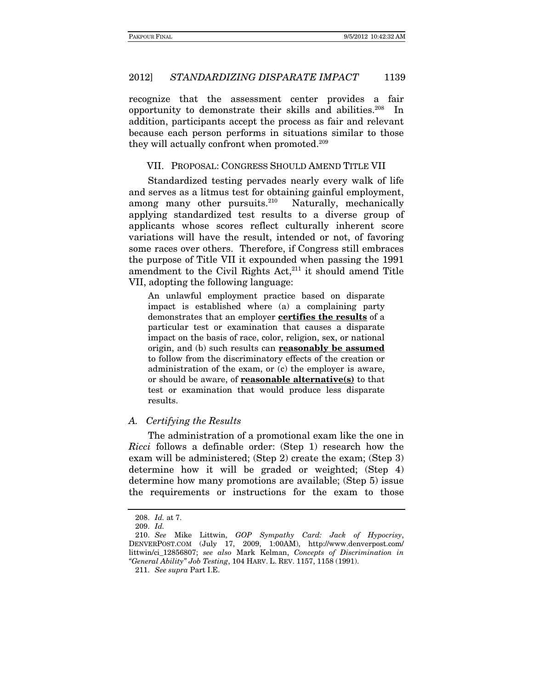recognize that the assessment center provides a fair opportunity to demonstrate their skills and abilities.208 In addition, participants accept the process as fair and relevant because each person performs in situations similar to those they will actually confront when promoted.<sup>209</sup>

VII. PROPOSAL: CONGRESS SHOULD AMEND TITLE VII

Standardized testing pervades nearly every walk of life and serves as a litmus test for obtaining gainful employment, among many other pursuits.<sup>210</sup> Naturally, mechanically applying standardized test results to a diverse group of applicants whose scores reflect culturally inherent score variations will have the result, intended or not, of favoring some races over others. Therefore, if Congress still embraces the purpose of Title VII it expounded when passing the 1991 amendment to the Civil Rights Act, $211$  it should amend Title VII, adopting the following language:

An unlawful employment practice based on disparate impact is established where (a) a complaining party demonstrates that an employer **certifies the results** of a particular test or examination that causes a disparate impact on the basis of race, color, religion, sex, or national origin, and (b) such results can **reasonably be assumed** to follow from the discriminatory effects of the creation or administration of the exam, or (c) the employer is aware, or should be aware, of **reasonable alternative(s)** to that test or examination that would produce less disparate results.

# A. Certifying the Results

The administration of a promotional exam like the one in Ricci follows a definable order: (Step 1) research how the exam will be administered; (Step 2) create the exam; (Step 3) determine how it will be graded or weighted; (Step 4) determine how many promotions are available; (Step 5) issue the requirements or instructions for the exam to those

<sup>208.</sup> Id. at 7.

 <sup>209.</sup> Id.

<sup>210.</sup> See Mike Littwin, GOP Sympathy Card: Jack of Hypocrisy, DENVERPOST.COM (July 17, 2009, 1:00AM), http://www.denverpost.com/ littwin/ci\_12856807; see also Mark Kelman, Concepts of Discrimination in "General Ability" Job Testing, 104 HARV. L. REV. 1157, 1158 (1991).

<sup>211.</sup> See supra Part I.E.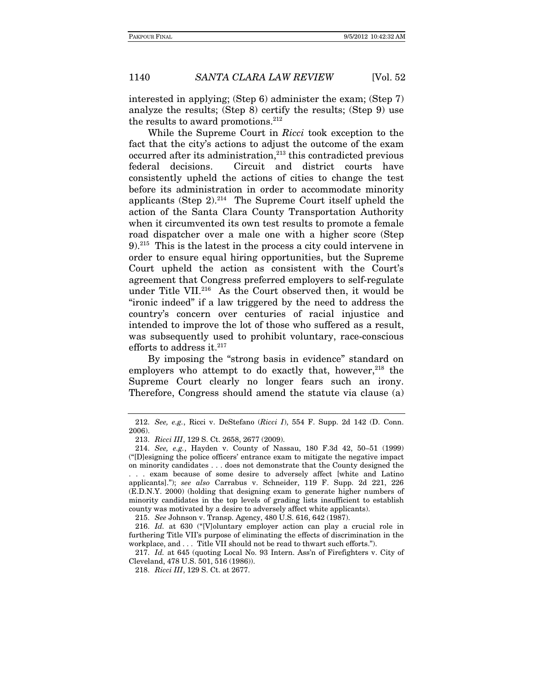interested in applying; (Step 6) administer the exam; (Step 7) analyze the results; (Step 8) certify the results; (Step 9) use the results to award promotions. $212$ 

While the Supreme Court in Ricci took exception to the fact that the city's actions to adjust the outcome of the exam occurred after its administration,<sup>213</sup> this contradicted previous federal decisions. Circuit and district courts have consistently upheld the actions of cities to change the test before its administration in order to accommodate minority applicants (Step  $2$ ).<sup>214</sup> The Supreme Court itself upheld the action of the Santa Clara County Transportation Authority when it circumvented its own test results to promote a female road dispatcher over a male one with a higher score (Step 9).215 This is the latest in the process a city could intervene in order to ensure equal hiring opportunities, but the Supreme Court upheld the action as consistent with the Court's agreement that Congress preferred employers to self-regulate under Title VII.216 As the Court observed then, it would be "ironic indeed" if a law triggered by the need to address the country's concern over centuries of racial injustice and intended to improve the lot of those who suffered as a result, was subsequently used to prohibit voluntary, race-conscious efforts to address it. $^{217}$ 

By imposing the "strong basis in evidence" standard on employers who attempt to do exactly that, however,  $218$  the Supreme Court clearly no longer fears such an irony. Therefore, Congress should amend the statute via clause (a)

215. See Johnson v. Transp. Agency, 480 U.S. 616, 642 (1987).

<sup>212.</sup> See, e.g., Ricci v. DeStefano (Ricci I), 554 F. Supp. 2d 142 (D. Conn. 2006).

 <sup>213.</sup> Ricci III, 129 S. Ct. 2658, 2677 (2009).

<sup>214.</sup> See, e.g., Hayden v. County of Nassau, 180 F.3d 42, 50–51 (1999) ("[D]esigning the police officers' entrance exam to mitigate the negative impact on minority candidates . . . does not demonstrate that the County designed the . . . exam because of some desire to adversely affect [white and Latino applicants]."); see also Carrabus v. Schneider, 119 F. Supp. 2d 221, 226 (E.D.N.Y. 2000) (holding that designing exam to generate higher numbers of minority candidates in the top levels of grading lists insufficient to establish county was motivated by a desire to adversely affect white applicants).

<sup>216.</sup> Id. at 630 ("[V]oluntary employer action can play a crucial role in furthering Title VII's purpose of eliminating the effects of discrimination in the workplace, and . . . Title VII should not be read to thwart such efforts.").

<sup>217.</sup> Id. at 645 (quoting Local No. 93 Intern. Ass'n of Firefighters v. City of Cleveland, 478 U.S. 501, 516 (1986)).

<sup>218.</sup> Ricci III, 129 S. Ct. at 2677.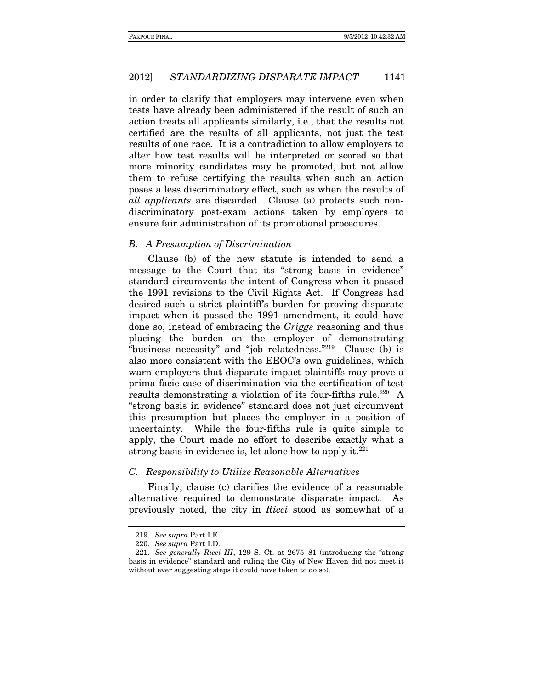in order to clarify that employers may intervene even when tests have already been administered if the result of such an action treats all applicants similarly, i.e., that the results not certified are the results of all applicants, not just the test results of one race. It is a contradiction to allow employers to alter how test results will be interpreted or scored so that more minority candidates may be promoted, but not allow them to refuse certifying the results when such an action poses a less discriminatory effect, such as when the results of all applicants are discarded. Clause (a) protects such nondiscriminatory post-exam actions taken by employers to ensure fair administration of its promotional procedures.

#### B. A Presumption of Discrimination

Clause (b) of the new statute is intended to send a message to the Court that its "strong basis in evidence" standard circumvents the intent of Congress when it passed the 1991 revisions to the Civil Rights Act. If Congress had desired such a strict plaintiff's burden for proving disparate impact when it passed the 1991 amendment, it could have done so, instead of embracing the Griggs reasoning and thus placing the burden on the employer of demonstrating "business necessity" and "job relatedness."219 Clause (b) is also more consistent with the EEOC's own guidelines, which warn employers that disparate impact plaintiffs may prove a prima facie case of discrimination via the certification of test results demonstrating a violation of its four-fifths rule.<sup>220</sup> A "strong basis in evidence" standard does not just circumvent this presumption but places the employer in a position of uncertainty. While the four-fifths rule is quite simple to apply, the Court made no effort to describe exactly what a strong basis in evidence is, let alone how to apply it. $221$ 

#### C. Responsibility to Utilize Reasonable Alternatives

Finally, clause (c) clarifies the evidence of a reasonable alternative required to demonstrate disparate impact. As previously noted, the city in Ricci stood as somewhat of a

<sup>219.</sup> See supra Part I.E.

<sup>220.</sup> See supra Part I.D.

<sup>221.</sup> See generally Ricci III, 129 S. Ct. at 2675–81 (introducing the "strong basis in evidence" standard and ruling the City of New Haven did not meet it without ever suggesting steps it could have taken to do so).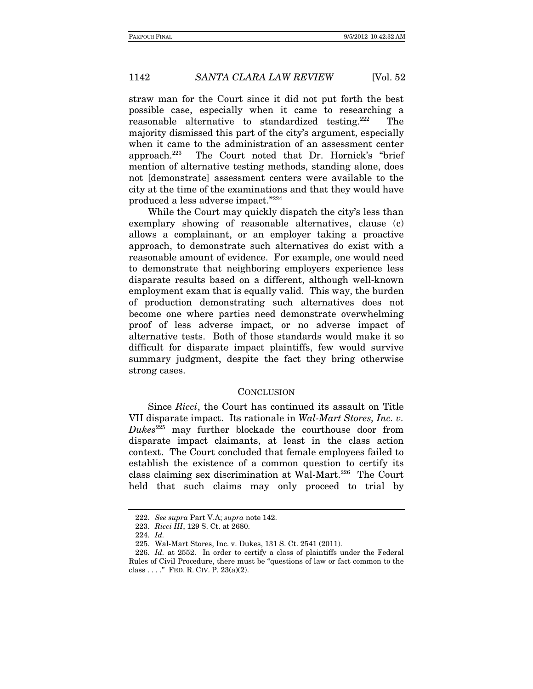straw man for the Court since it did not put forth the best possible case, especially when it came to researching a reasonable alternative to standardized testing.222 The majority dismissed this part of the city's argument, especially when it came to the administration of an assessment center approach.223 The Court noted that Dr. Hornick's "brief mention of alternative testing methods, standing alone, does not [demonstrate] assessment centers were available to the city at the time of the examinations and that they would have produced a less adverse impact."224

While the Court may quickly dispatch the city's less than exemplary showing of reasonable alternatives, clause (c) allows a complainant, or an employer taking a proactive approach, to demonstrate such alternatives do exist with a reasonable amount of evidence. For example, one would need to demonstrate that neighboring employers experience less disparate results based on a different, although well-known employment exam that is equally valid. This way, the burden of production demonstrating such alternatives does not become one where parties need demonstrate overwhelming proof of less adverse impact, or no adverse impact of alternative tests. Both of those standards would make it so difficult for disparate impact plaintiffs, few would survive summary judgment, despite the fact they bring otherwise strong cases.

#### **CONCLUSION**

Since Ricci, the Court has continued its assault on Title VII disparate impact. Its rationale in Wal-Mart Stores, Inc. v.  $Dukes<sup>225</sup>$  may further blockade the courthouse door from disparate impact claimants, at least in the class action context. The Court concluded that female employees failed to establish the existence of a common question to certify its class claiming sex discrimination at Wal-Mart.<sup>226</sup> The Court held that such claims may only proceed to trial by

<sup>222.</sup> See supra Part V.A; supra note 142.

<sup>223.</sup> Ricci III, 129 S. Ct. at 2680.

<sup>224.</sup> Id.

 <sup>225.</sup> Wal-Mart Stores, Inc. v. Dukes, 131 S. Ct. 2541 (2011).

<sup>226.</sup> Id. at 2552. In order to certify a class of plaintiffs under the Federal Rules of Civil Procedure, there must be "questions of law or fact common to the class . . . ." FED. R. CIV. P. 23(a)(2).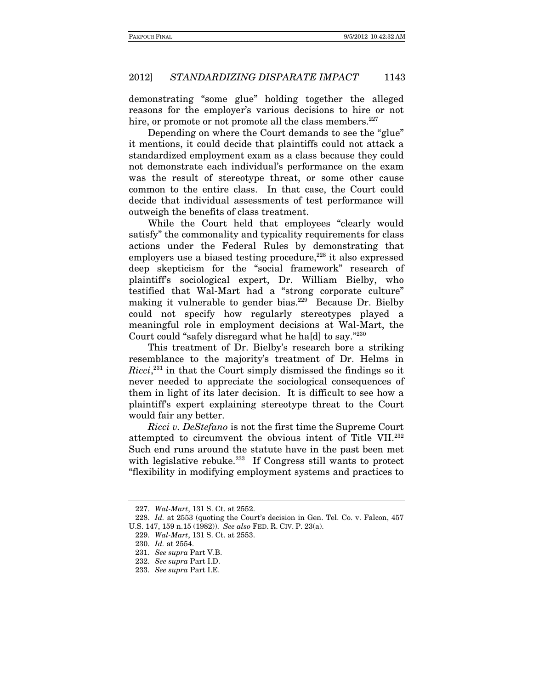demonstrating "some glue" holding together the alleged reasons for the employer's various decisions to hire or not hire, or promote or not promote all the class members.<sup>227</sup>

Depending on where the Court demands to see the "glue" it mentions, it could decide that plaintiffs could not attack a standardized employment exam as a class because they could not demonstrate each individual's performance on the exam was the result of stereotype threat, or some other cause common to the entire class. In that case, the Court could decide that individual assessments of test performance will outweigh the benefits of class treatment.

While the Court held that employees "clearly would satisfy" the commonality and typicality requirements for class actions under the Federal Rules by demonstrating that employers use a biased testing procedure,<sup>228</sup> it also expressed deep skepticism for the "social framework" research of plaintiff's sociological expert, Dr. William Bielby, who testified that Wal-Mart had a "strong corporate culture" making it vulnerable to gender bias.<sup>229</sup> Because Dr. Bielby could not specify how regularly stereotypes played a meaningful role in employment decisions at Wal-Mart, the Court could "safely disregard what he ha[d] to say."230

This treatment of Dr. Bielby's research bore a striking resemblance to the majority's treatment of Dr. Helms in Ricci,<sup>231</sup> in that the Court simply dismissed the findings so it never needed to appreciate the sociological consequences of them in light of its later decision. It is difficult to see how a plaintiff's expert explaining stereotype threat to the Court would fair any better.

Ricci v. DeStefano is not the first time the Supreme Court attempted to circumvent the obvious intent of Title VII.232 Such end runs around the statute have in the past been met with legislative rebuke.<sup>233</sup> If Congress still wants to protect "flexibility in modifying employment systems and practices to

<sup>227.</sup> Wal-Mart, 131 S. Ct. at 2552.

<sup>228.</sup> Id. at 2553 (quoting the Court's decision in Gen. Tel. Co. v. Falcon, 457 U.S. 147, 159 n.15 (1982)). See also FED. R. CIV. P. 23(a).

<sup>229.</sup> Wal-Mart, 131 S. Ct. at 2553.

<sup>230.</sup> Id. at 2554.

<sup>231.</sup> See supra Part V.B.

<sup>232.</sup> See supra Part I.D.

<sup>233.</sup> See supra Part I.E.